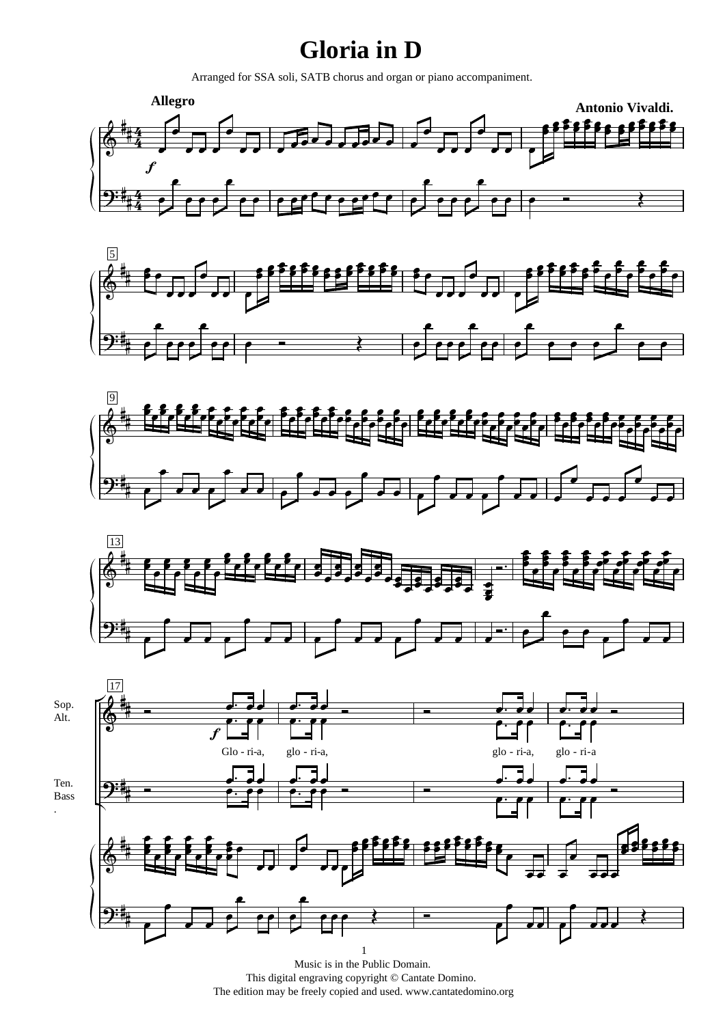## **Gloria in D**

Arranged for SSA soli, SATB chorus and organ or piano accompaniment.









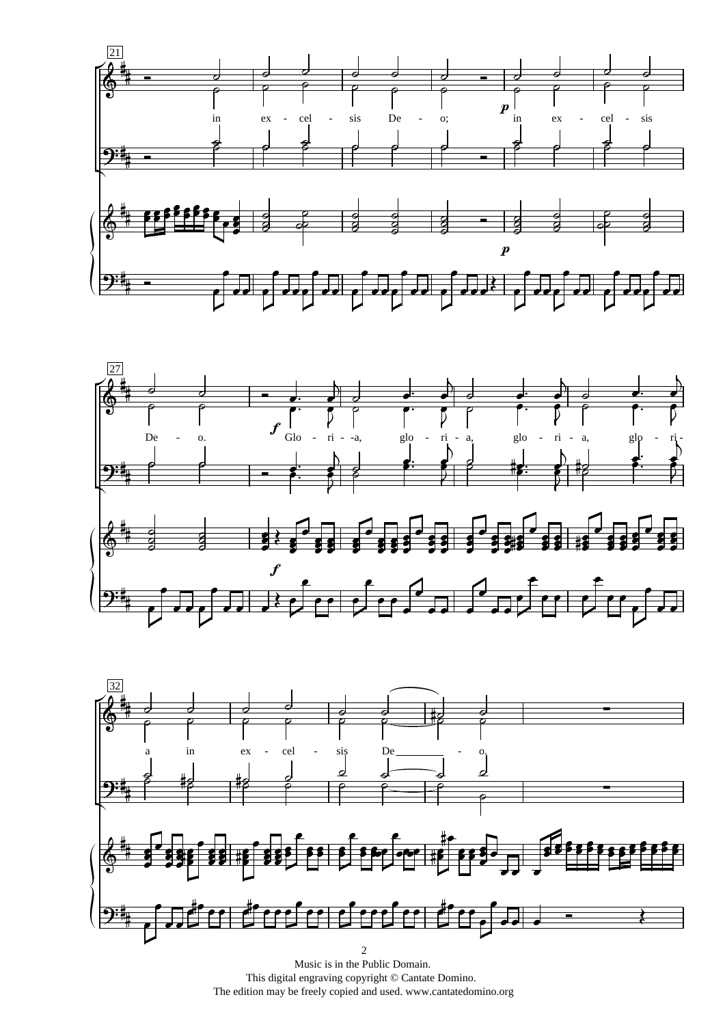





Music is in the Public Domain. This digital engraving copyright © Cantate Domino. The edition may be freely copied and used. www.cantatedomino.org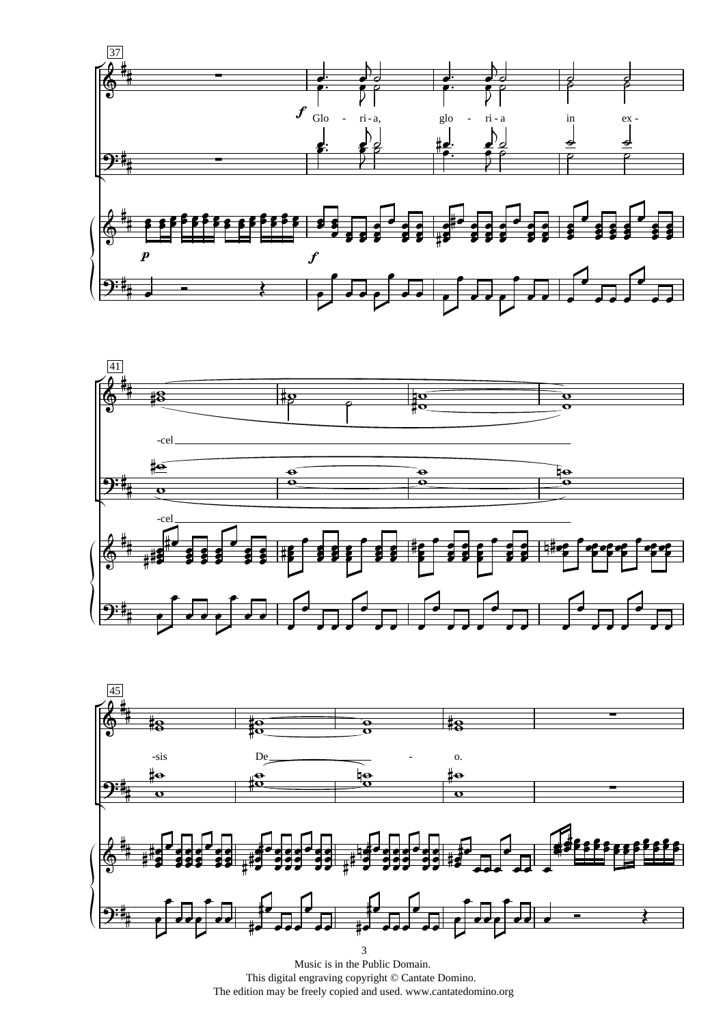





Music is in the Public Domain. This digital engraving copyright © Cantate Domino. The edition may be freely copied and used. www.cantatedomino.org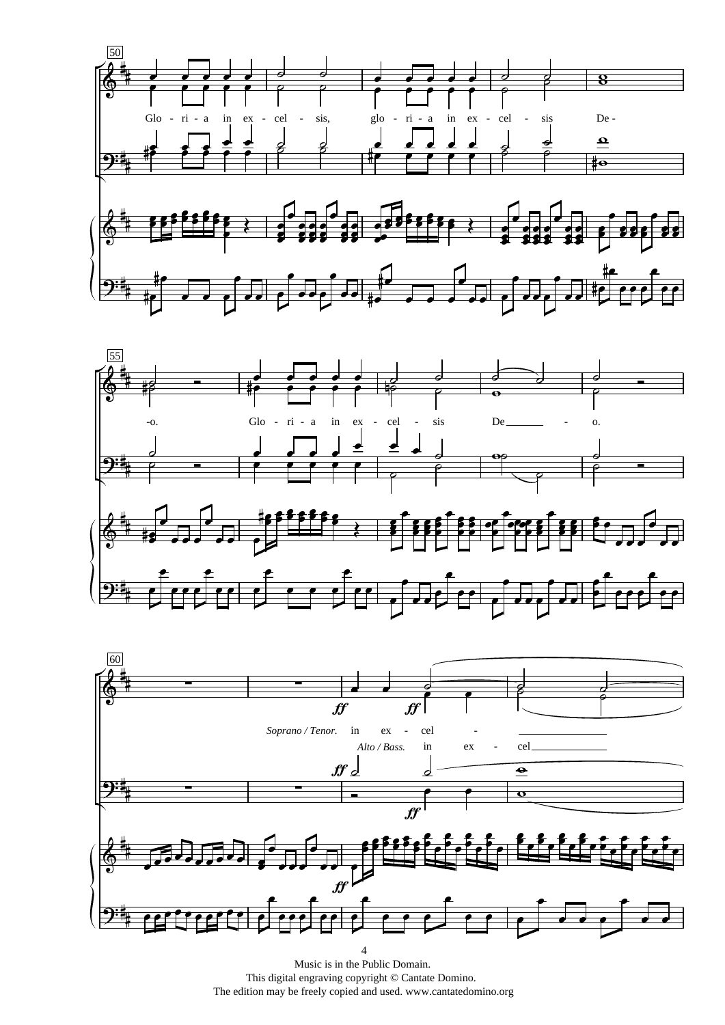





Music is in the Public Domain. This digital engraving copyright © Cantate Domino. The edition may be freely copied and used. www.cantatedomino.org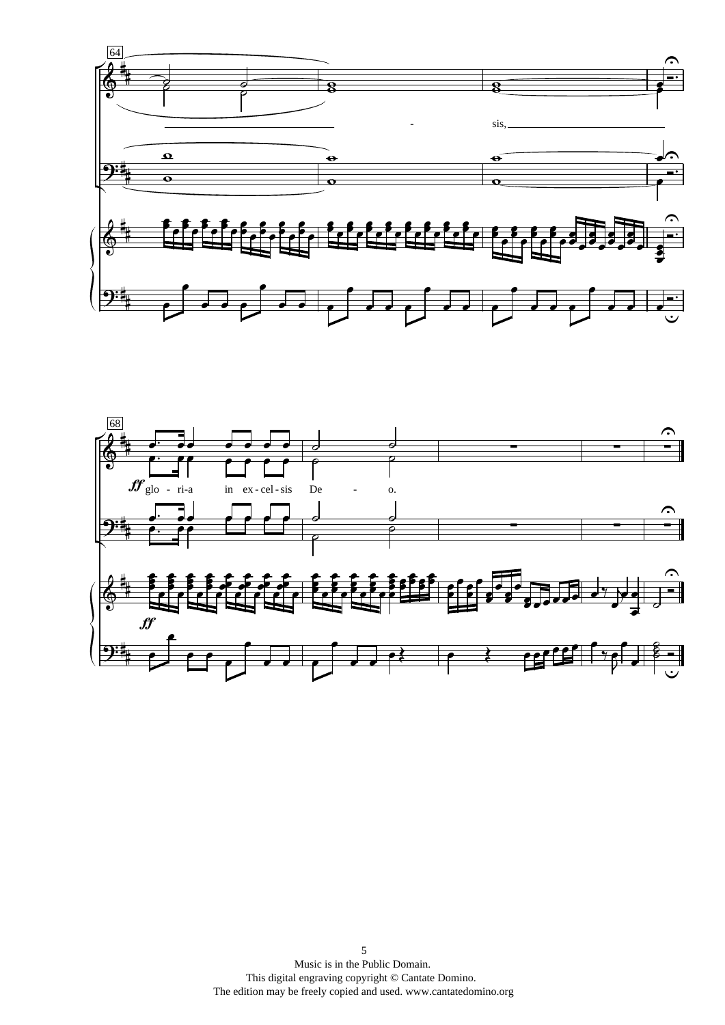

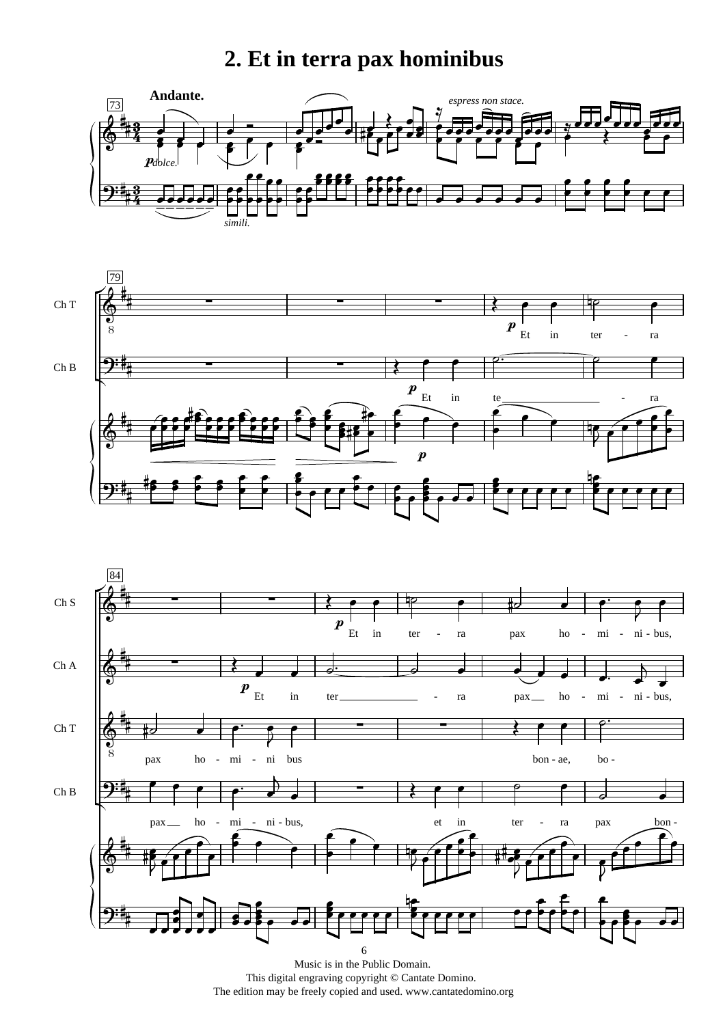## **2. Et in terra pax hominibus**







Music is in the Public Domain. This digital engraving copyright © Cantate Domino. The edition may be freely copied and used. www.cantatedomino.org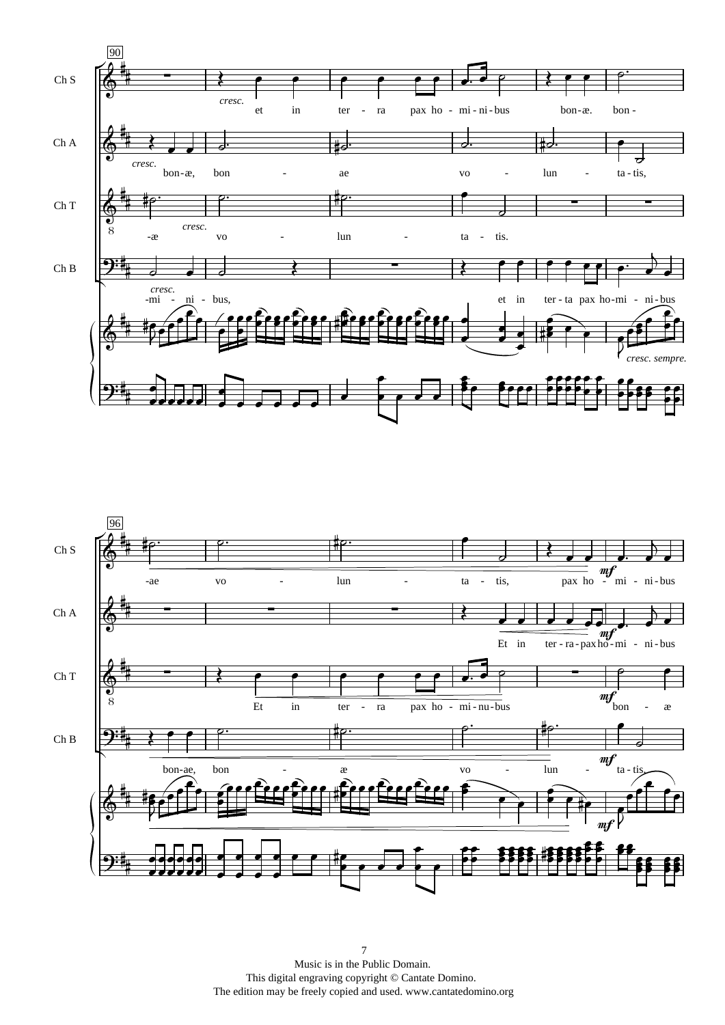

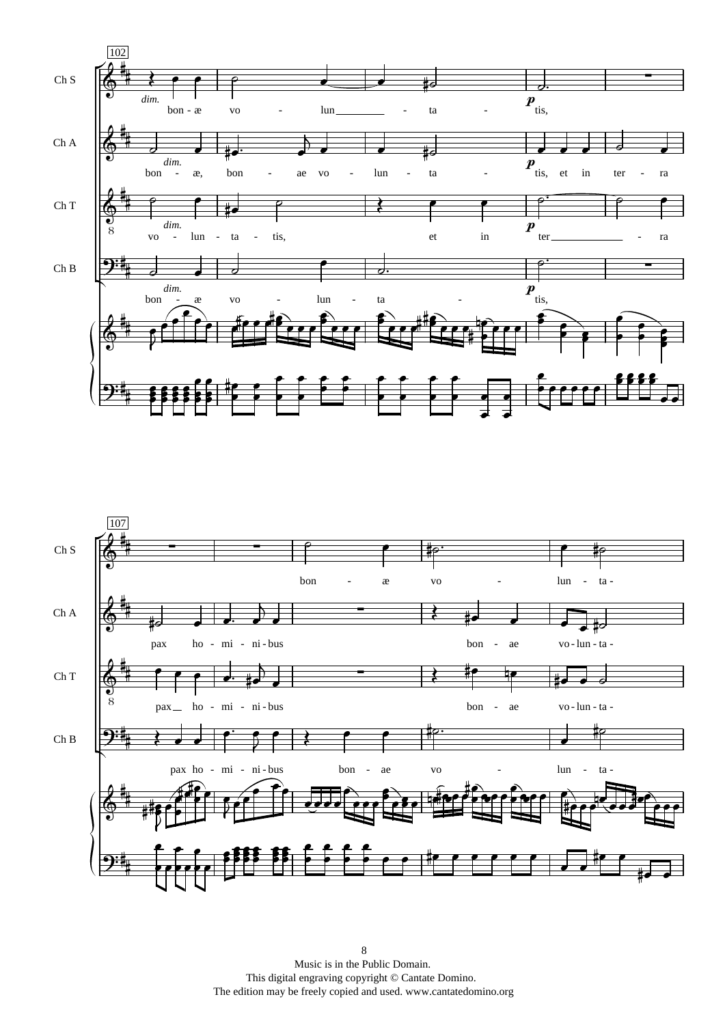

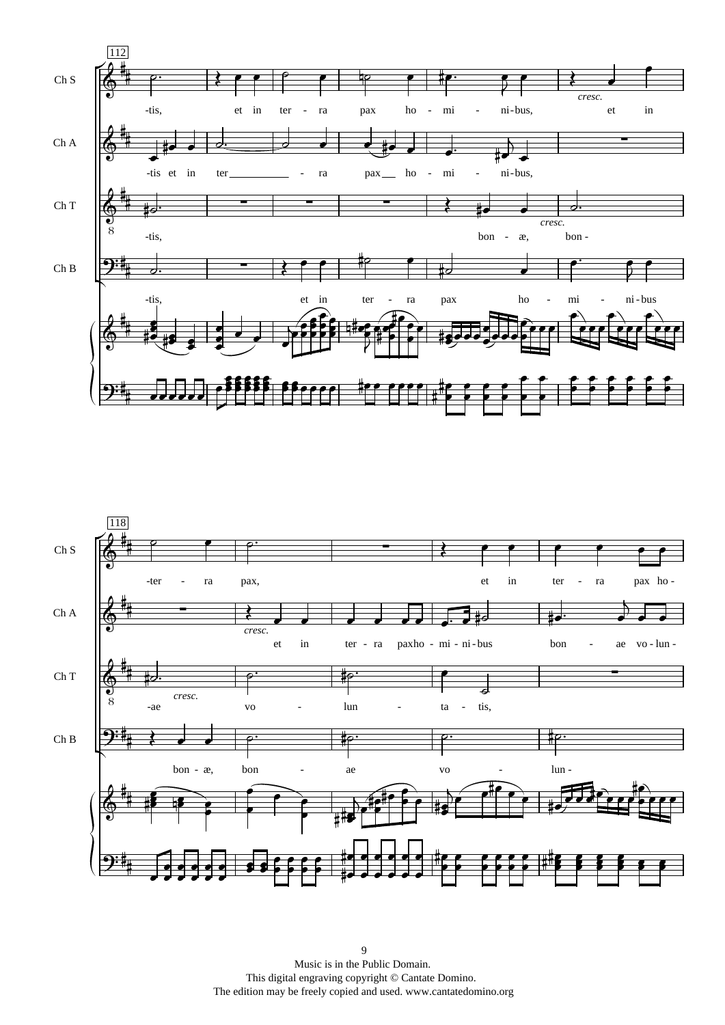

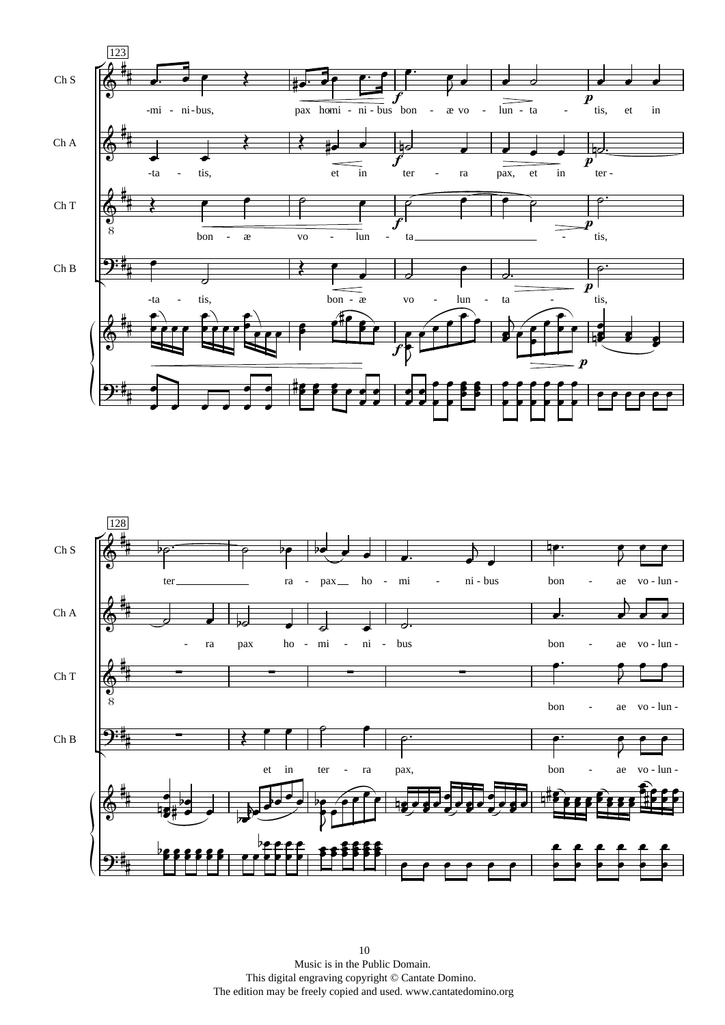

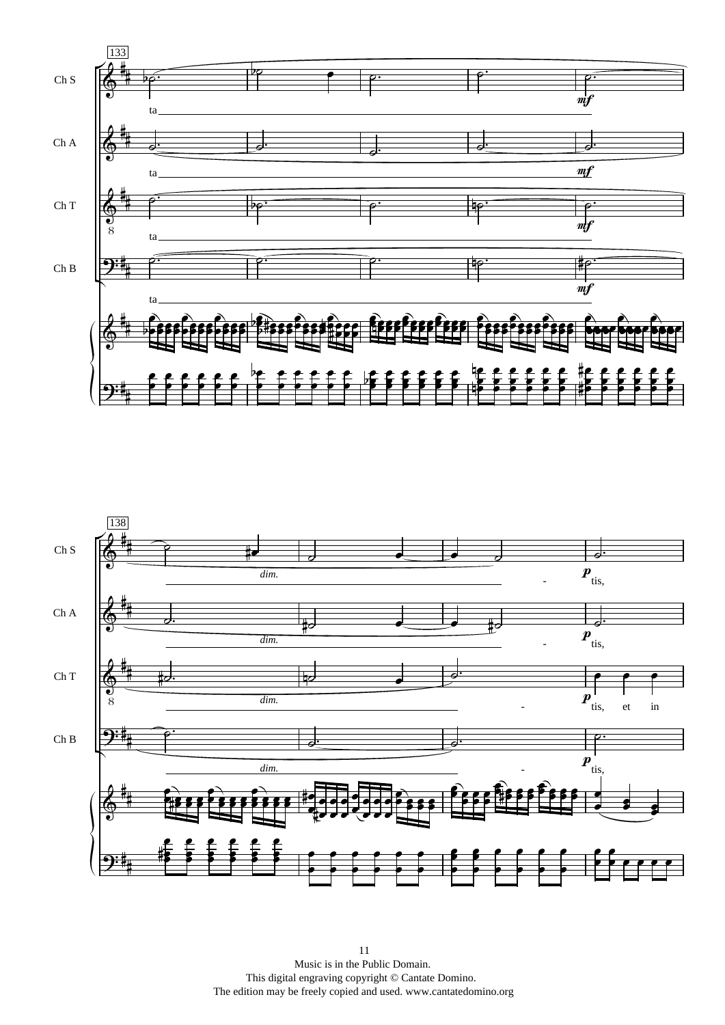

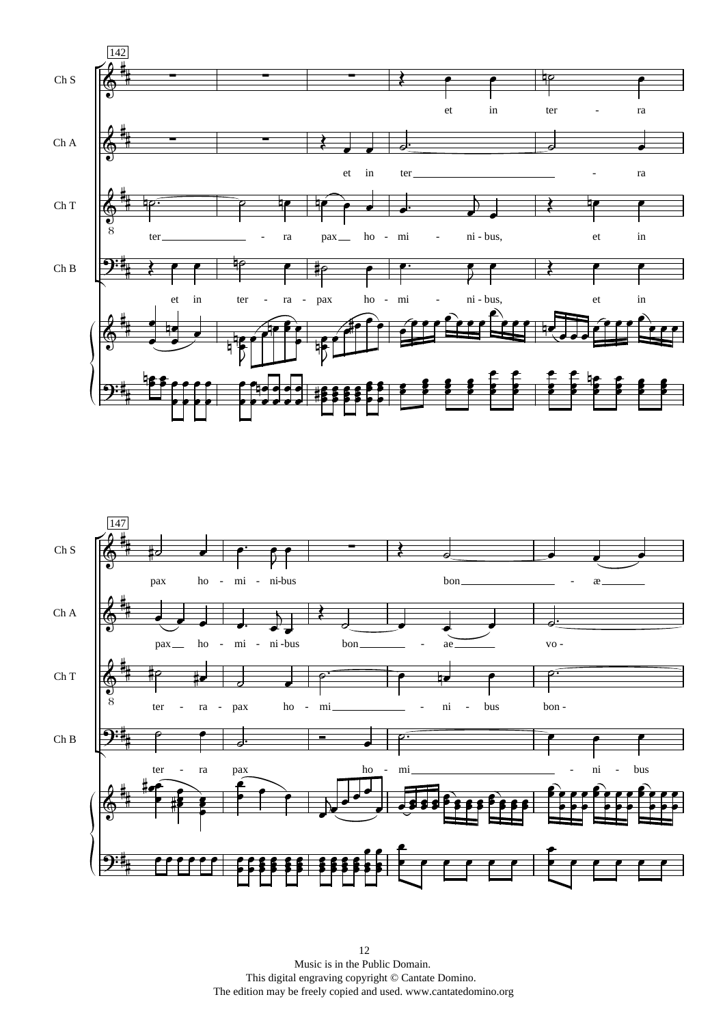

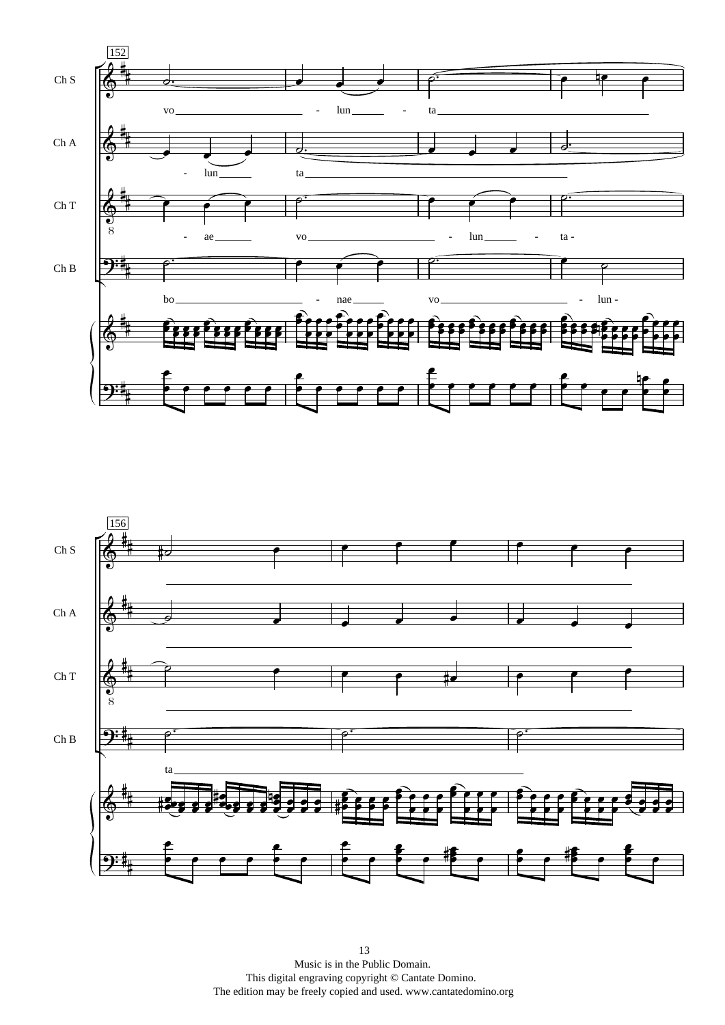

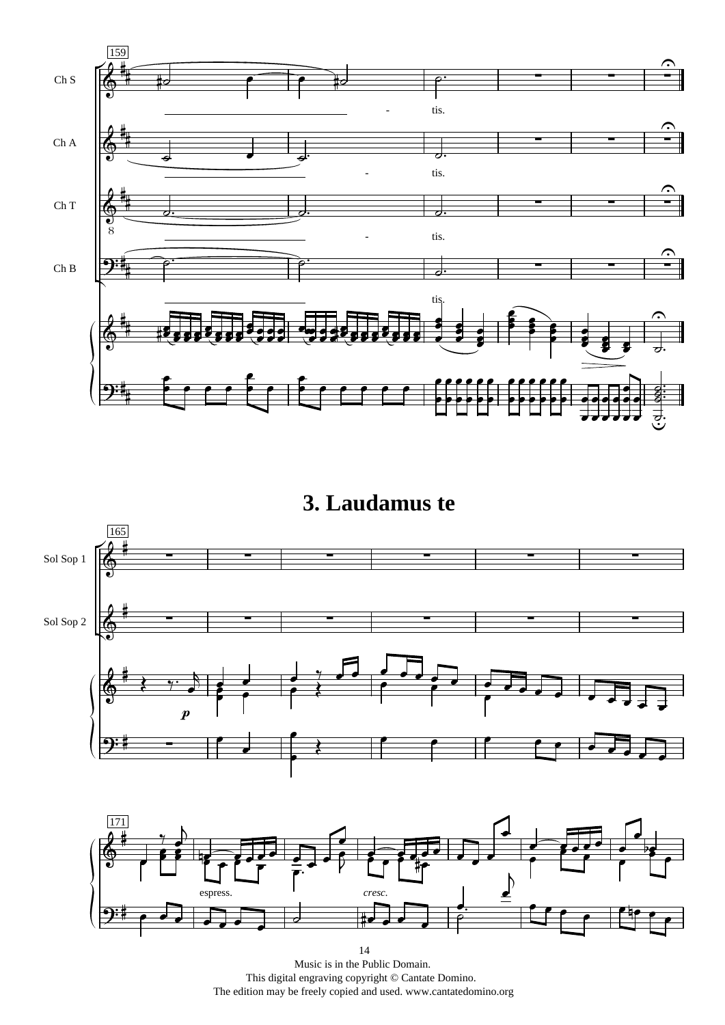

3. Laudamus te



Music is in the Public Domain. This digital engraving copyright © Cantate Domino. The edition may be freely copied and used. www.cantatedomino.org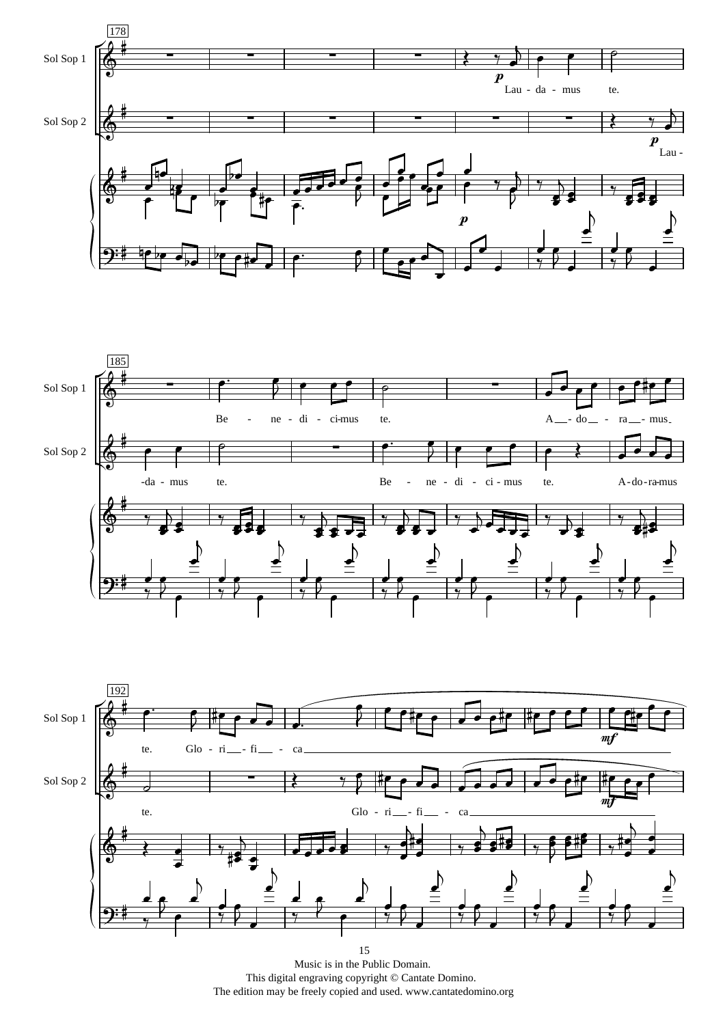





Music is in the Public Domain. This digital engraving copyright  $\circledcirc$  Cantate Domino.<br>The edition may be freely copied and used. www.cantatedomino.org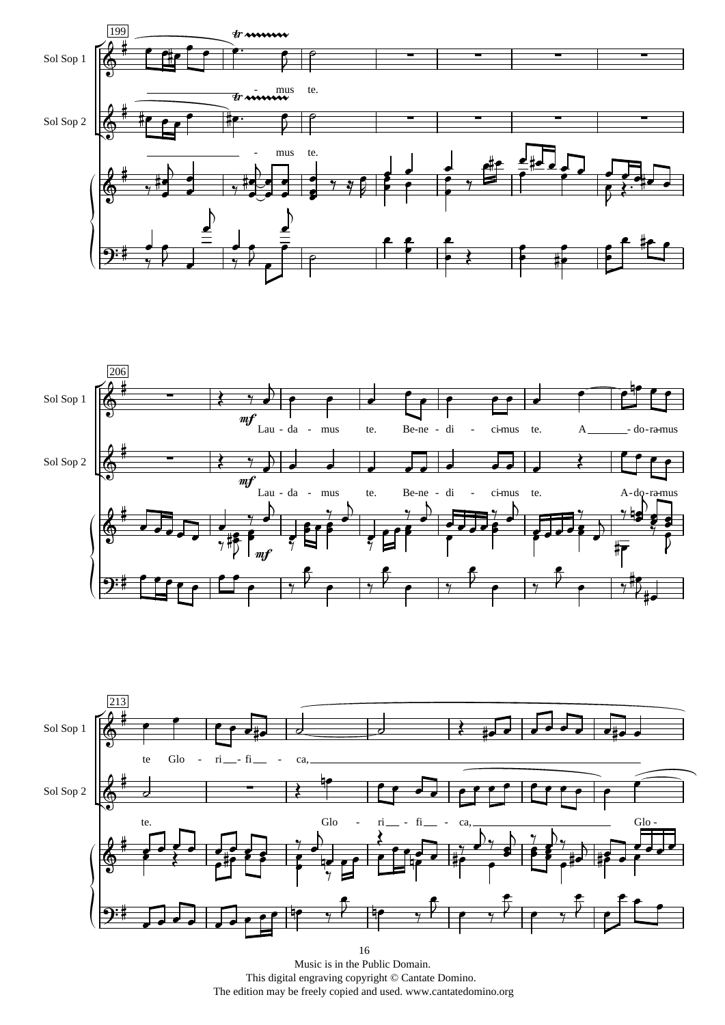





Music is in the Public Domain. This digital engraving copyright © Cantate Domino. The edition may be freely copied and used. www.cantatedomino.org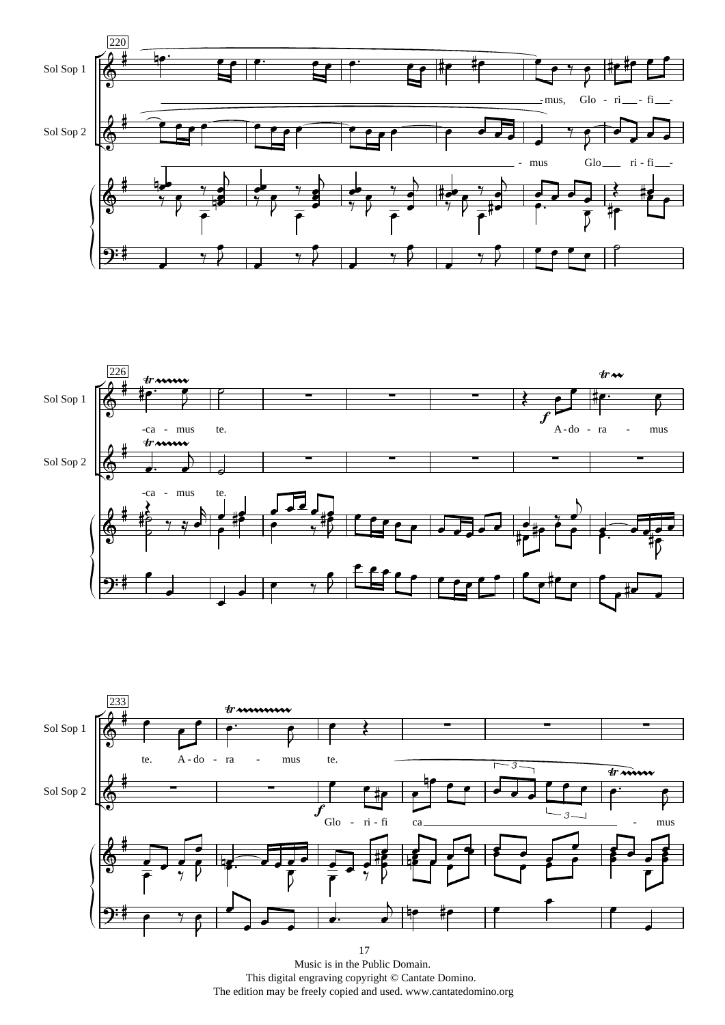





Music is in the Public Domain. This digital engraving copyright © Cantate Domino. The edition may be freely copied and used. www.cantatedomino.org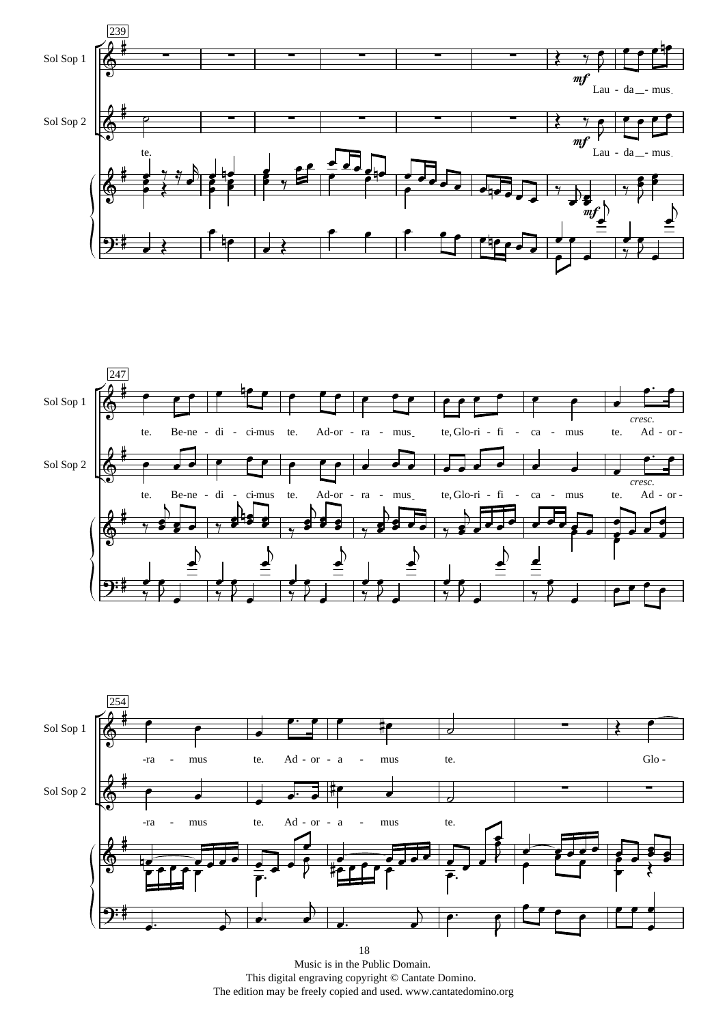





Music is in the Public Domain. This digital engraving copyright © Cantate Domino. The edition may be freely copied and used. www.cantatedomino.org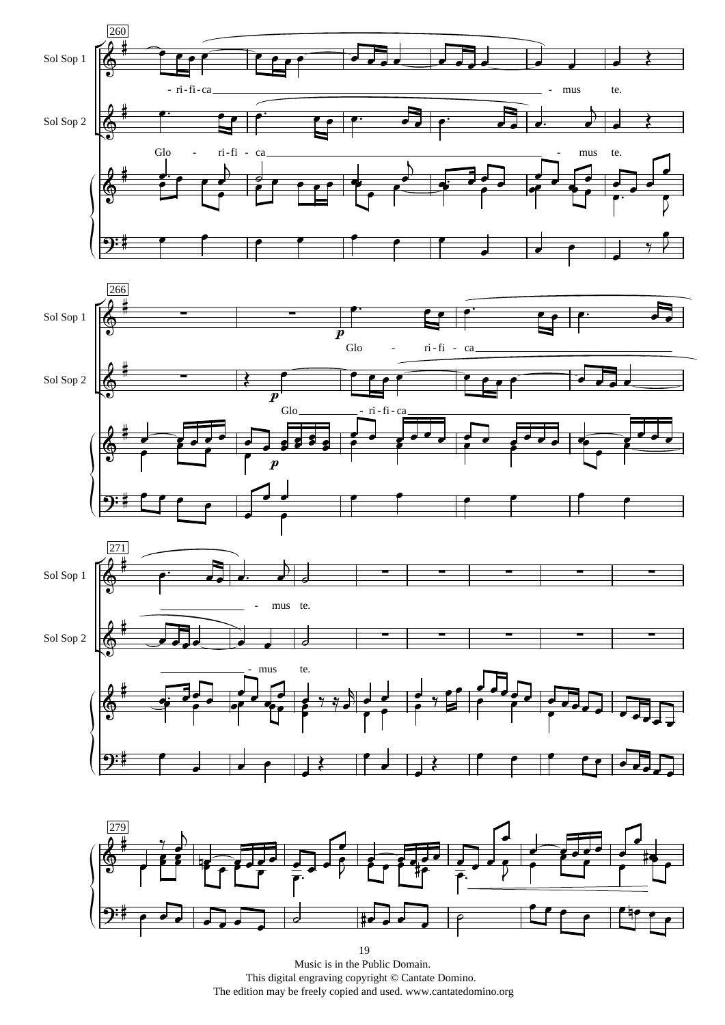





Music is in the Public Domain. This digital engraving copyright © Cantate Domino. The edition may be freely copied and used. www.cantatedomino.org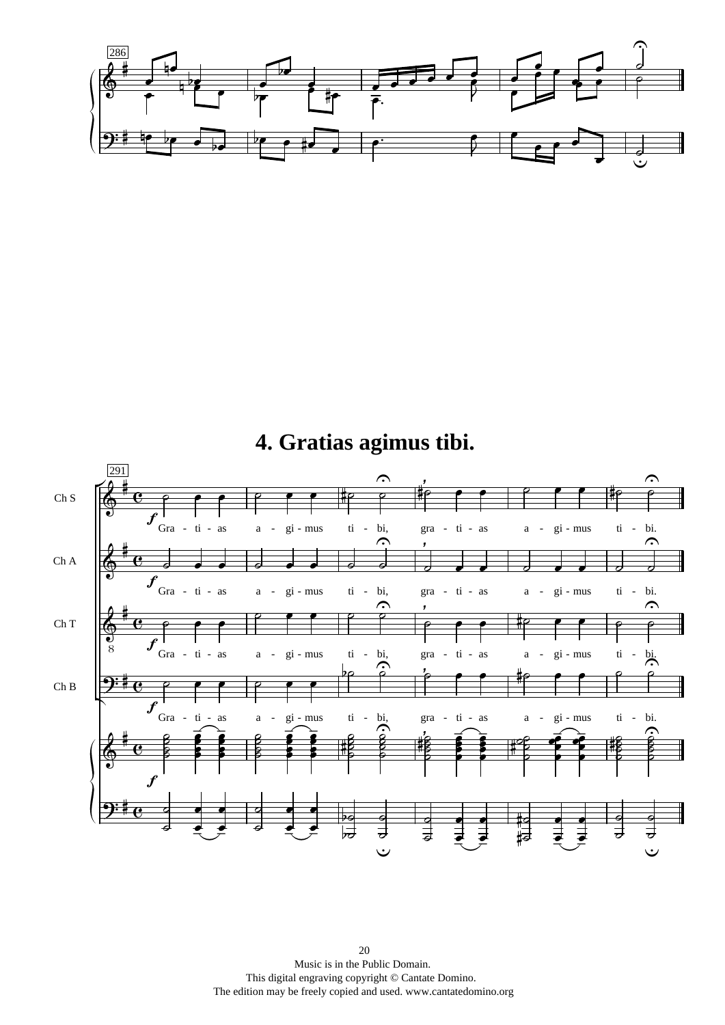

**4. Gratias agimus tibi.**

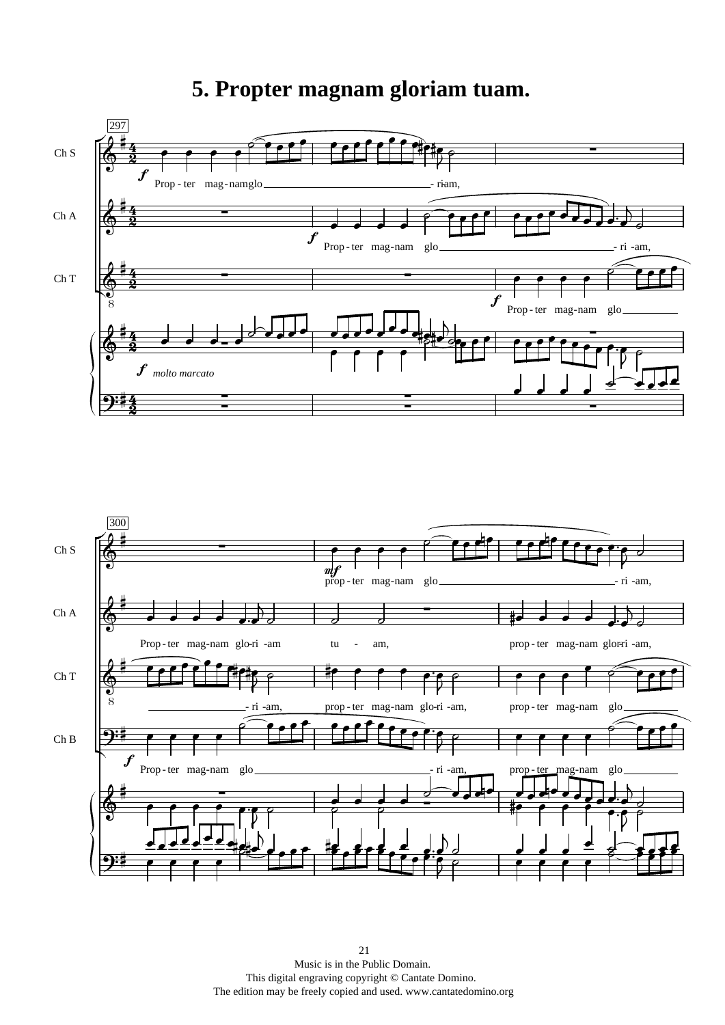#### **5. Propter magnam gloriam tuam.**



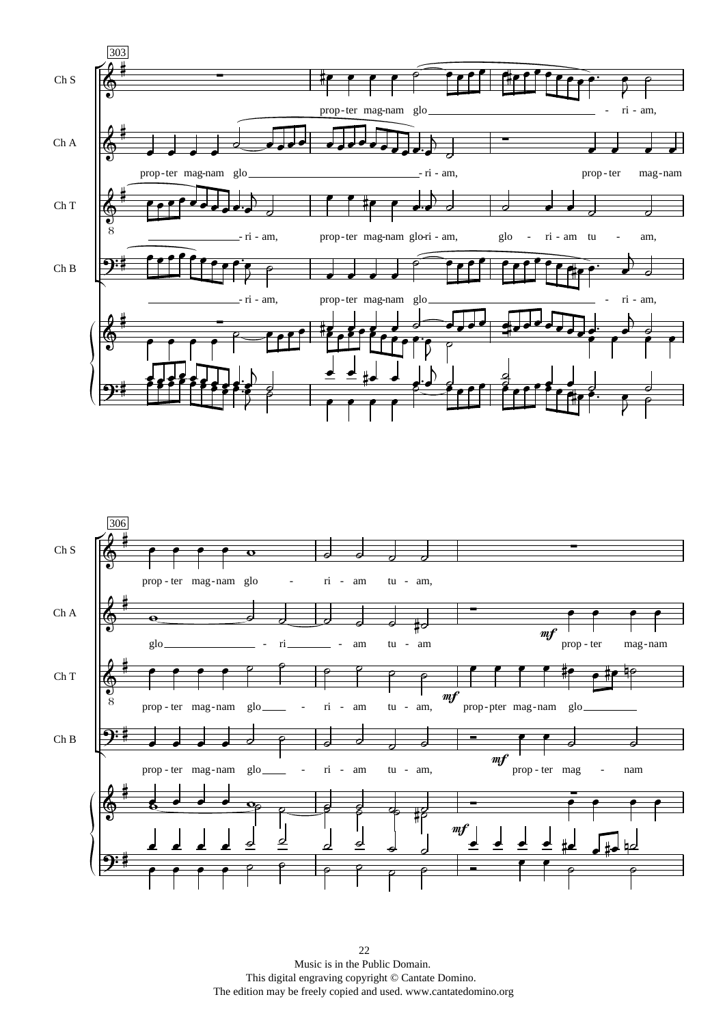

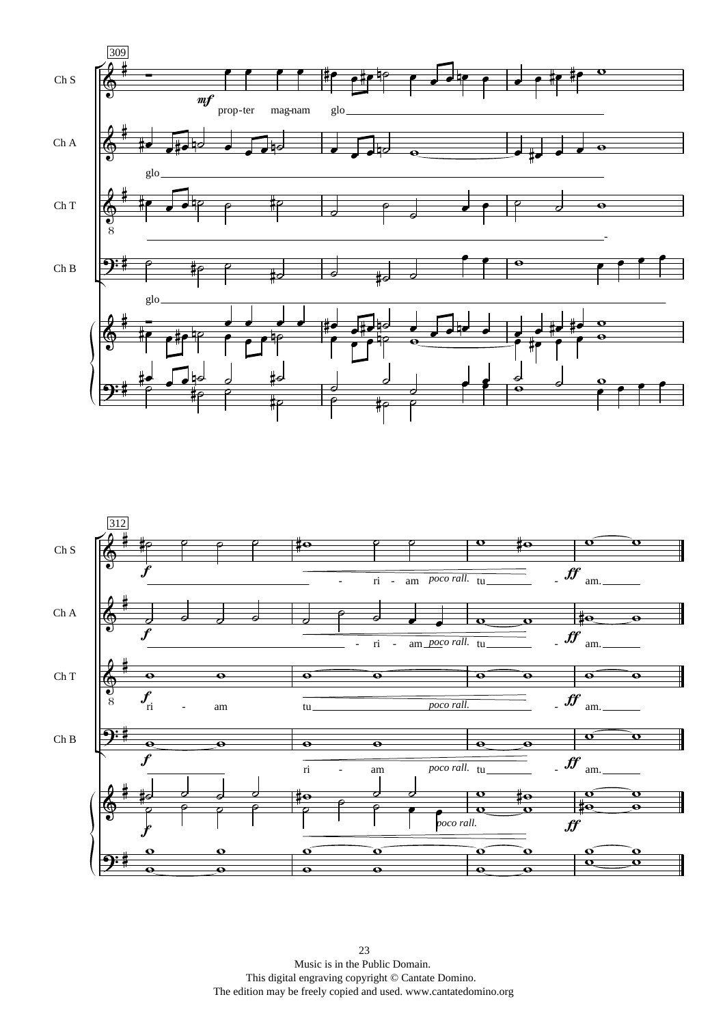

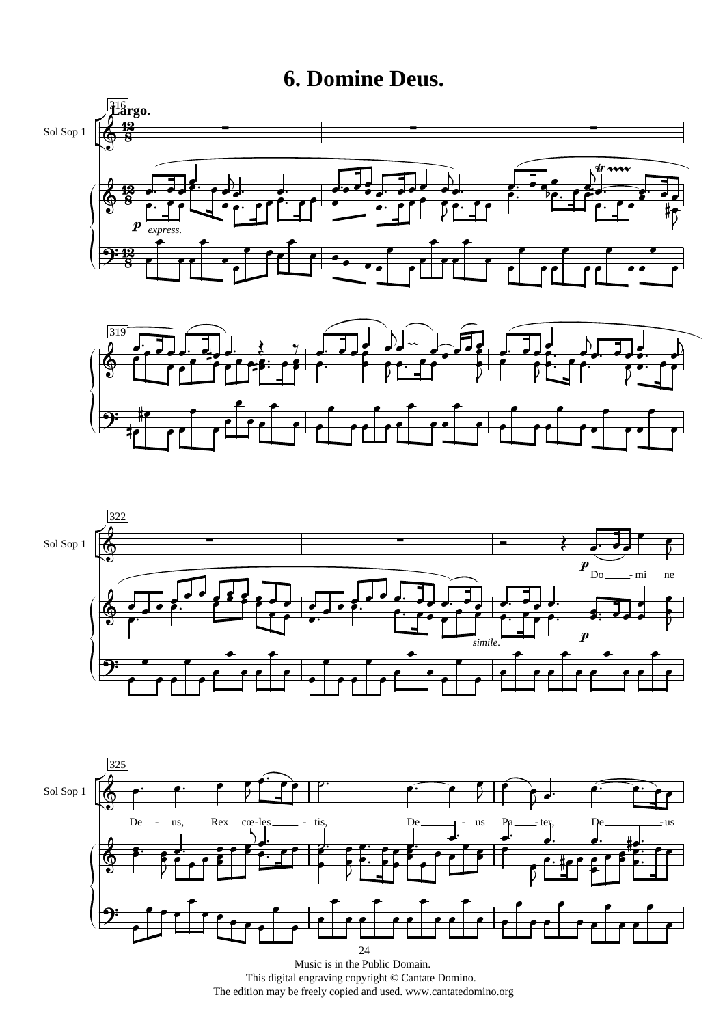**6. Domine Deus.**









Music is in the Public Domain. This digital engraving copyright © Cantate Domino. The edition may be freely copied and used. www.cantatedomino.org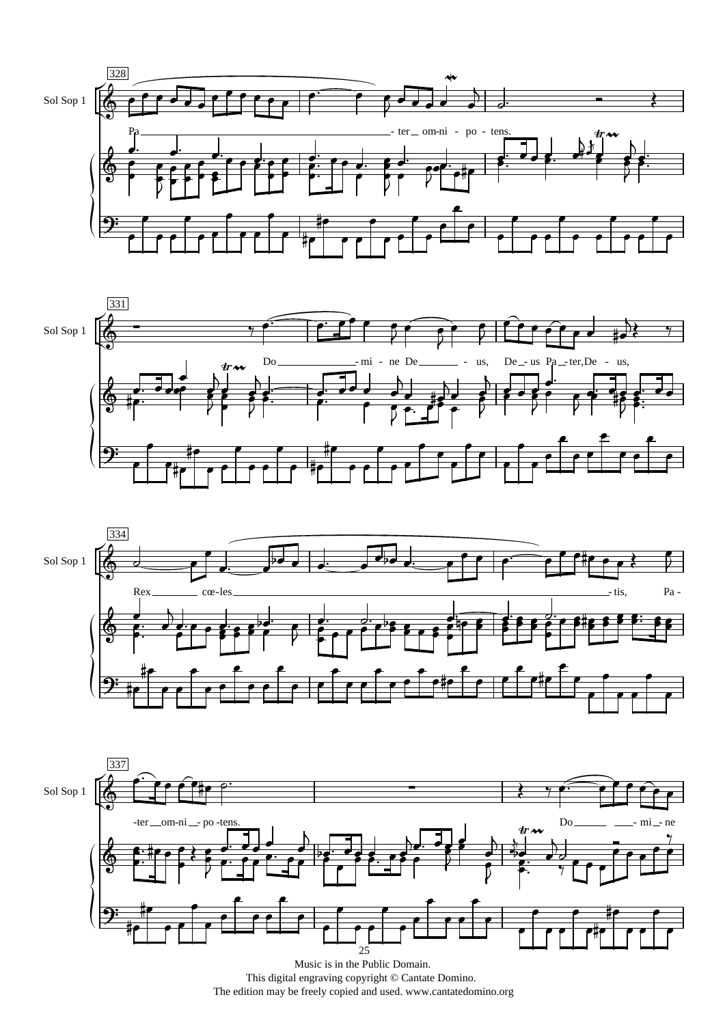







Music is in the Public Domain. This digital engraving copyright © Cantate Domino. The edition may be freely copied and used. www.cantatedomino.org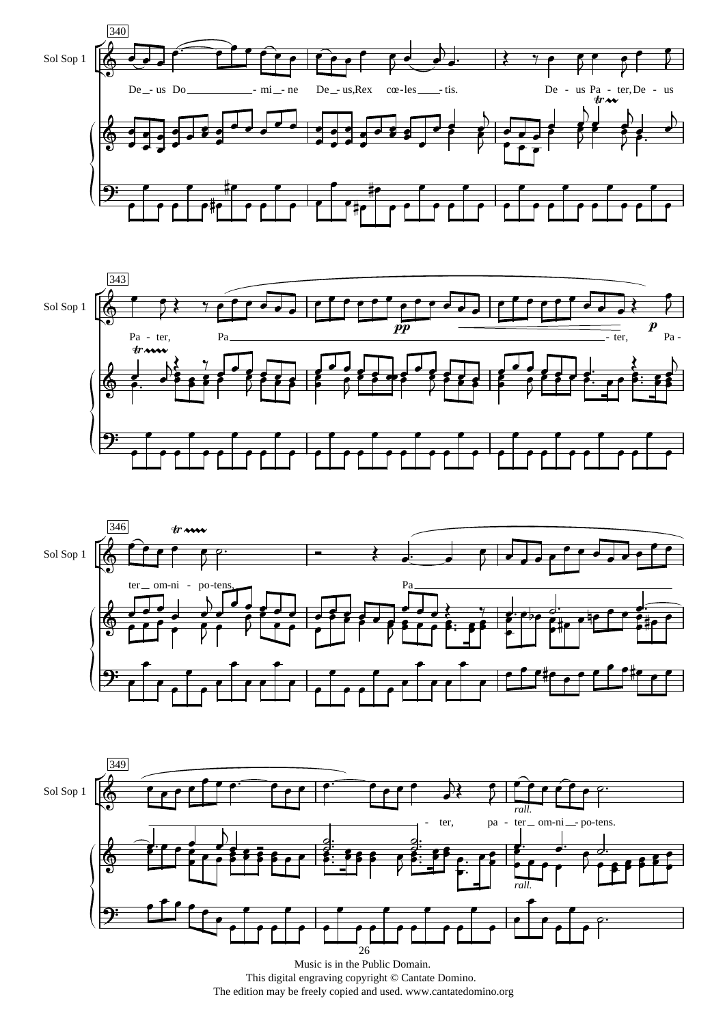







Music is in the Public Domain. This digital engraving copyright © Cantate Domino. The edition may be freely copied and used. www.cantatedomino.org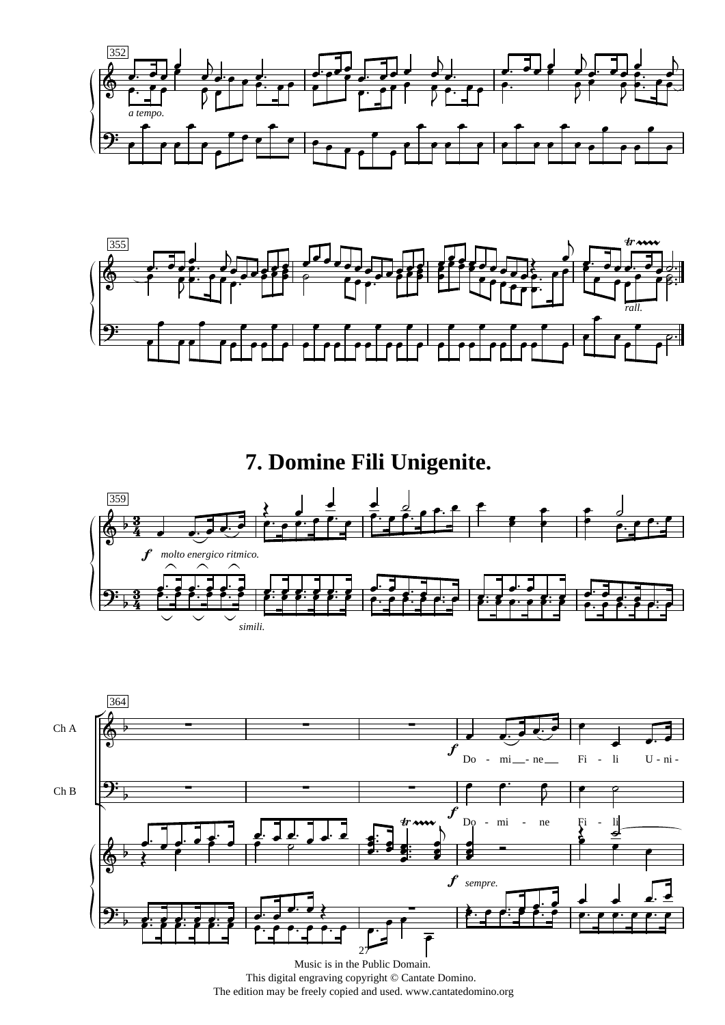



**7. Domine Fili Unigenite.**





This digital engraving copyright © Cantate Domino. The edition may be freely copied and used. www.cantatedomino.org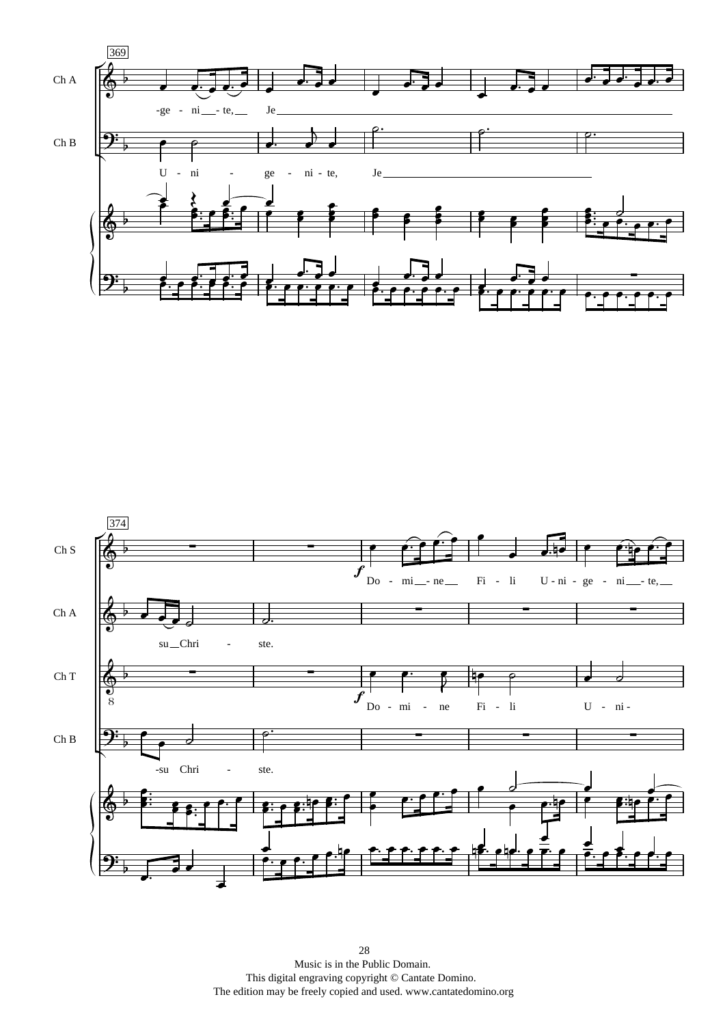

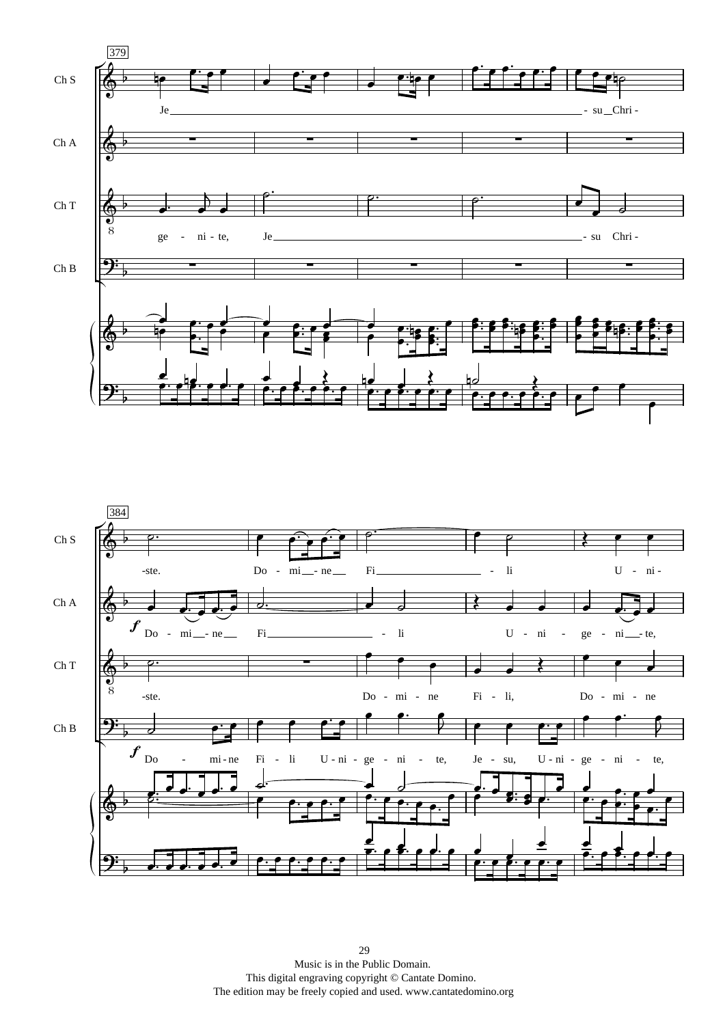

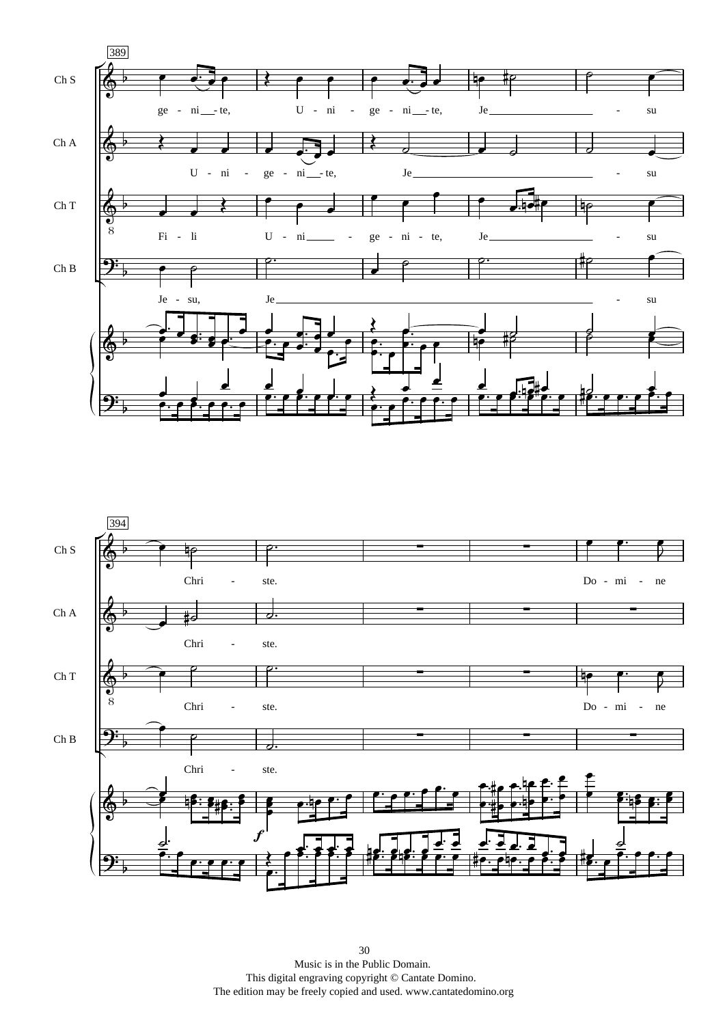

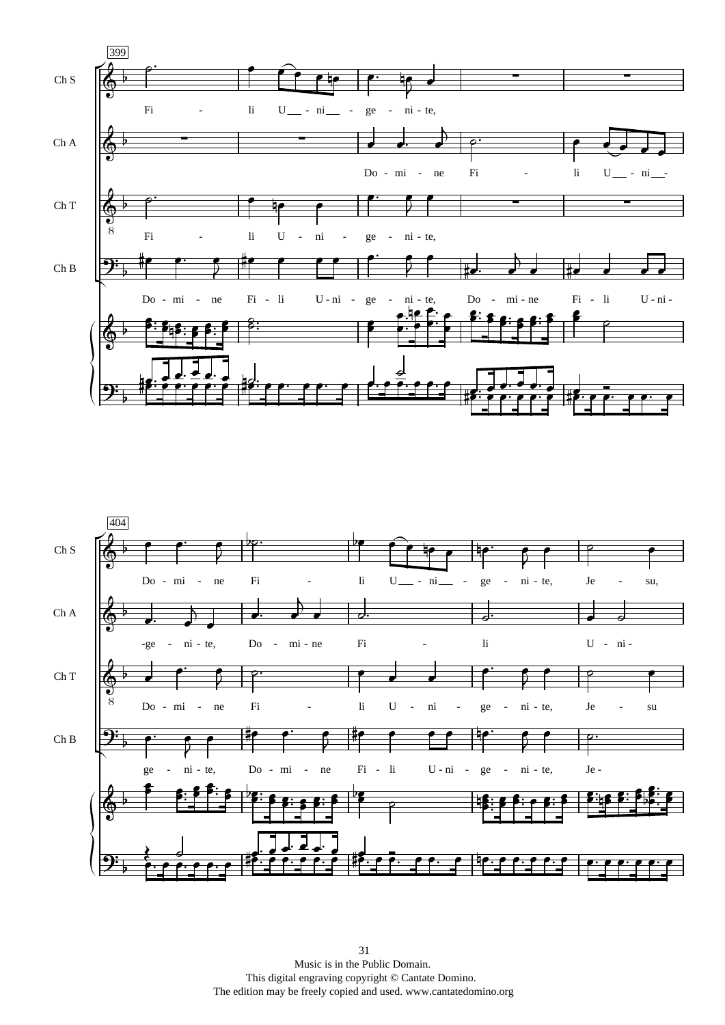

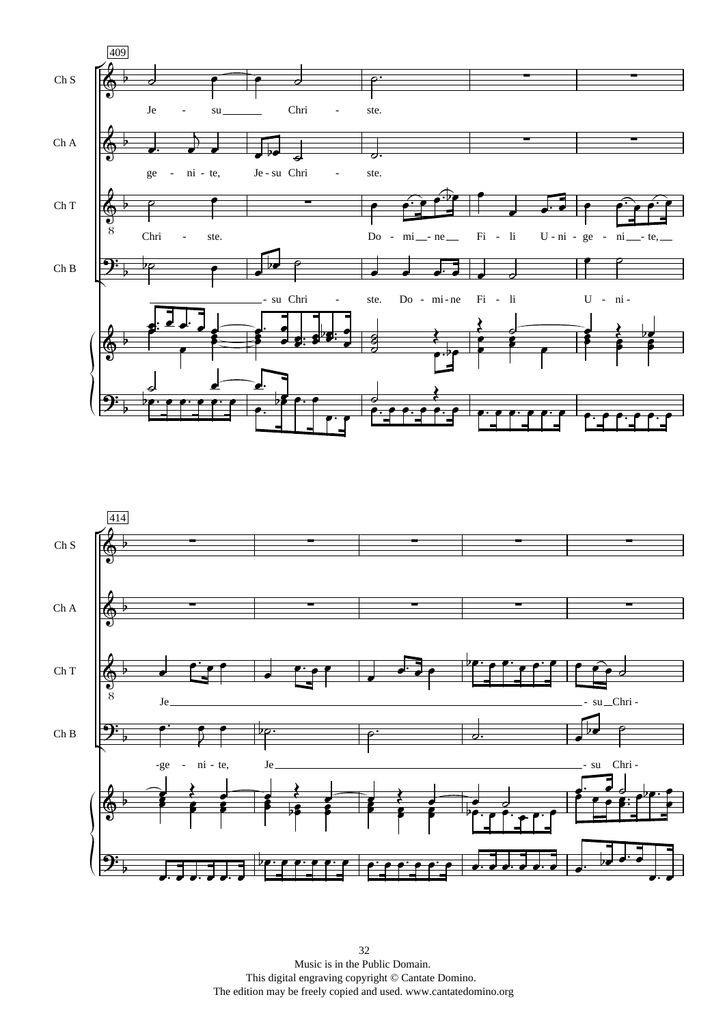

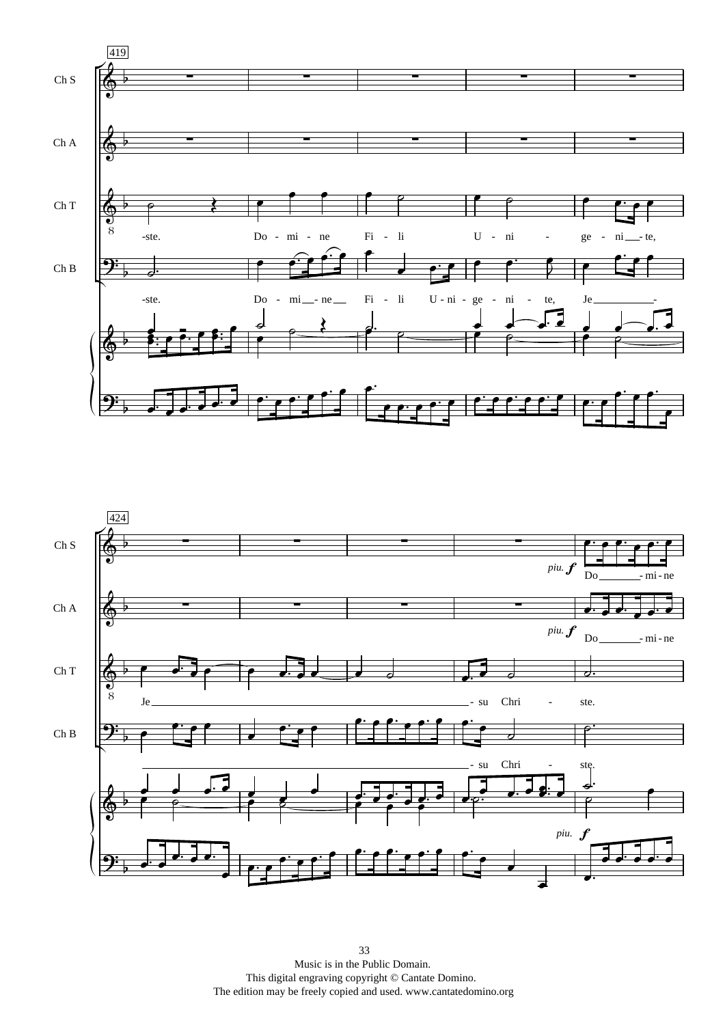

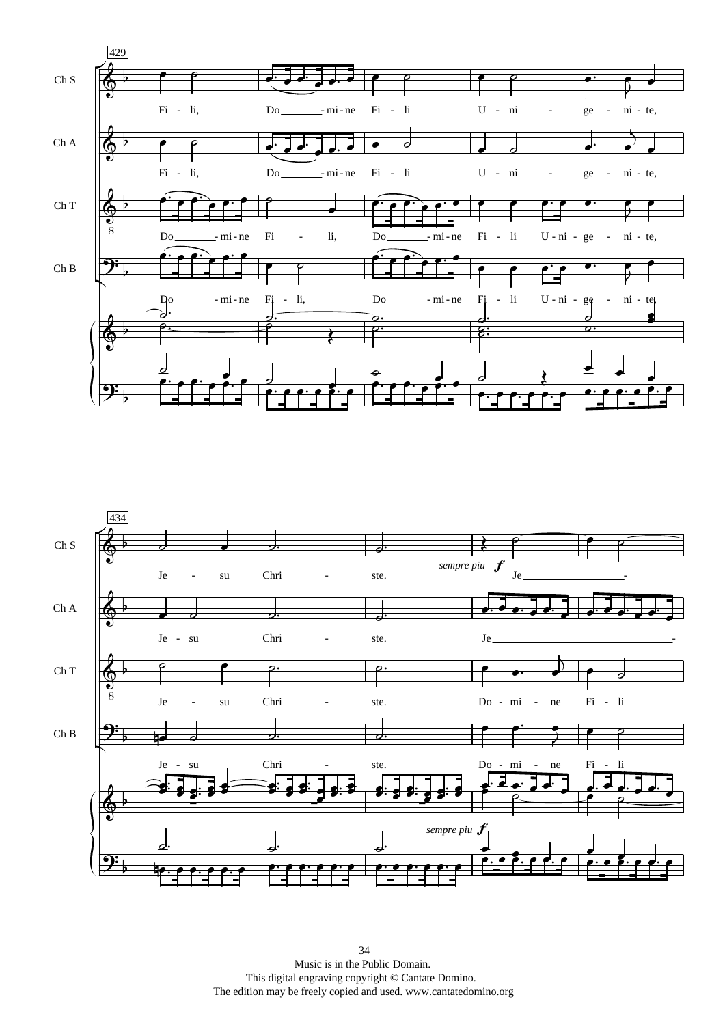

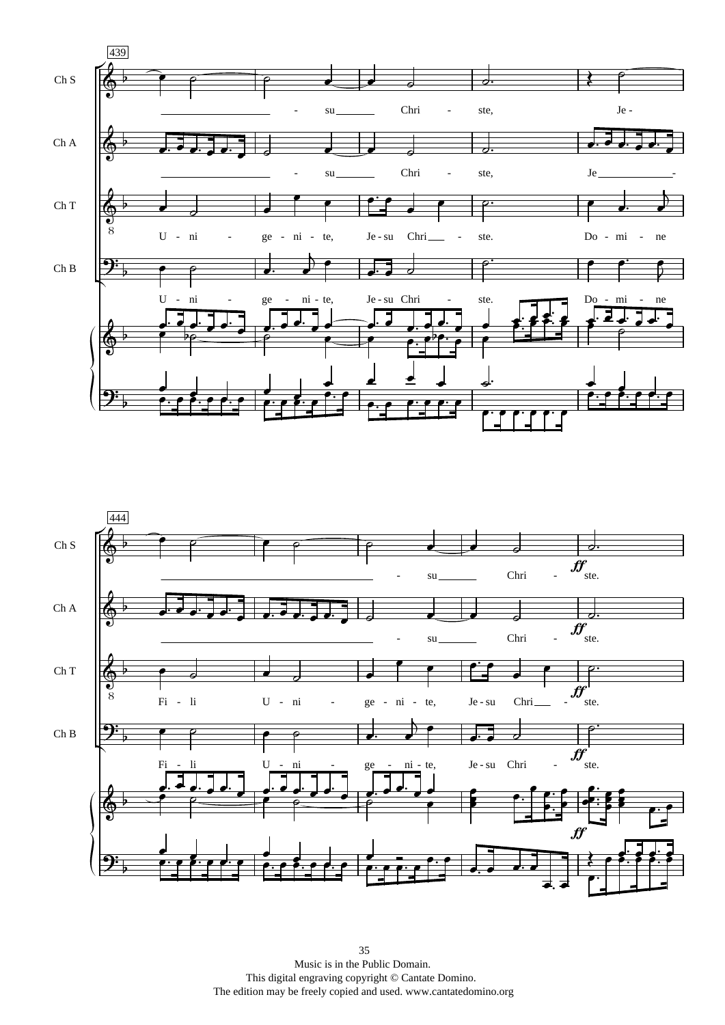

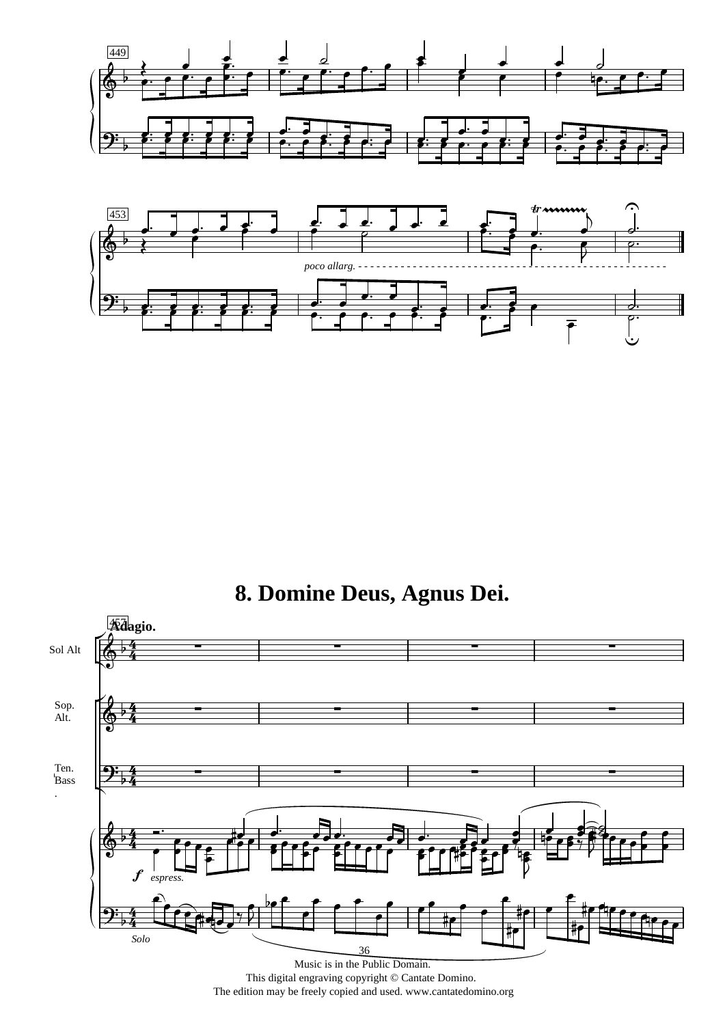



# 8. Domine Deus, Agnus Dei.



The edition may be freely copied and used. www.cantatedomino.org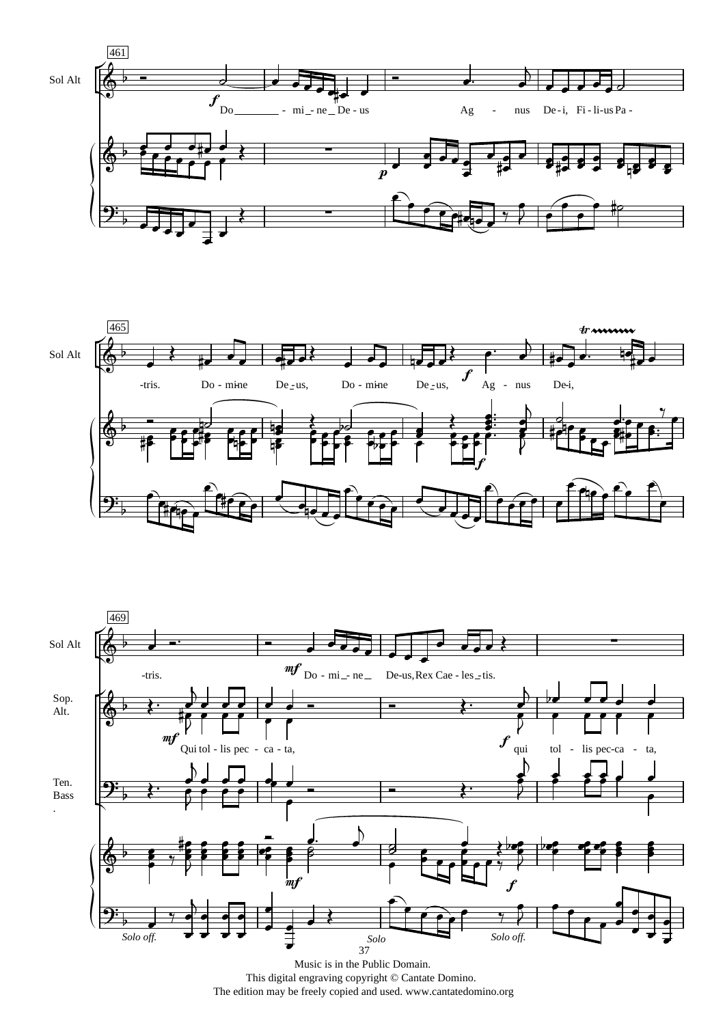





Music is in the Public Domain. This digital engraving copyright © Cantate Domino. The edition may be freely copied and used. www.cantatedomino.org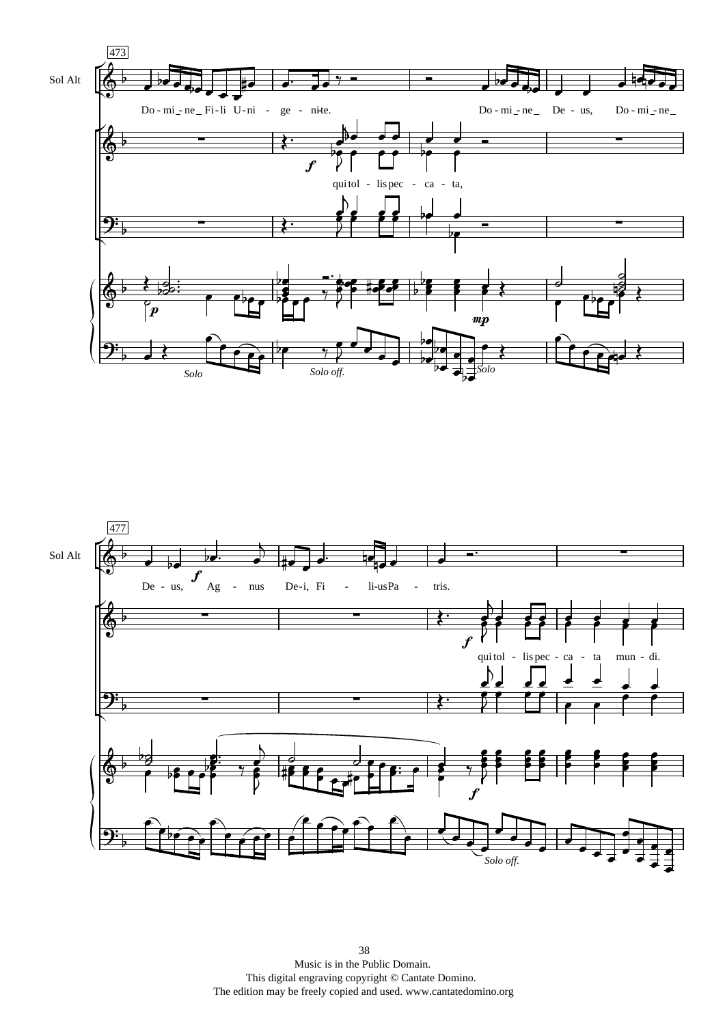

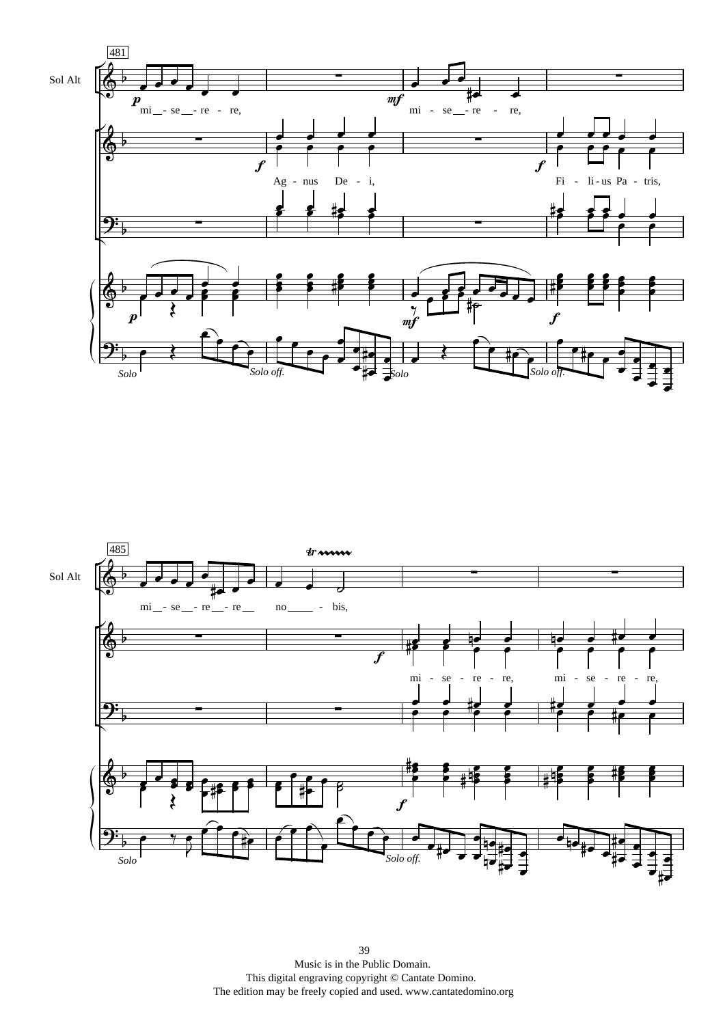

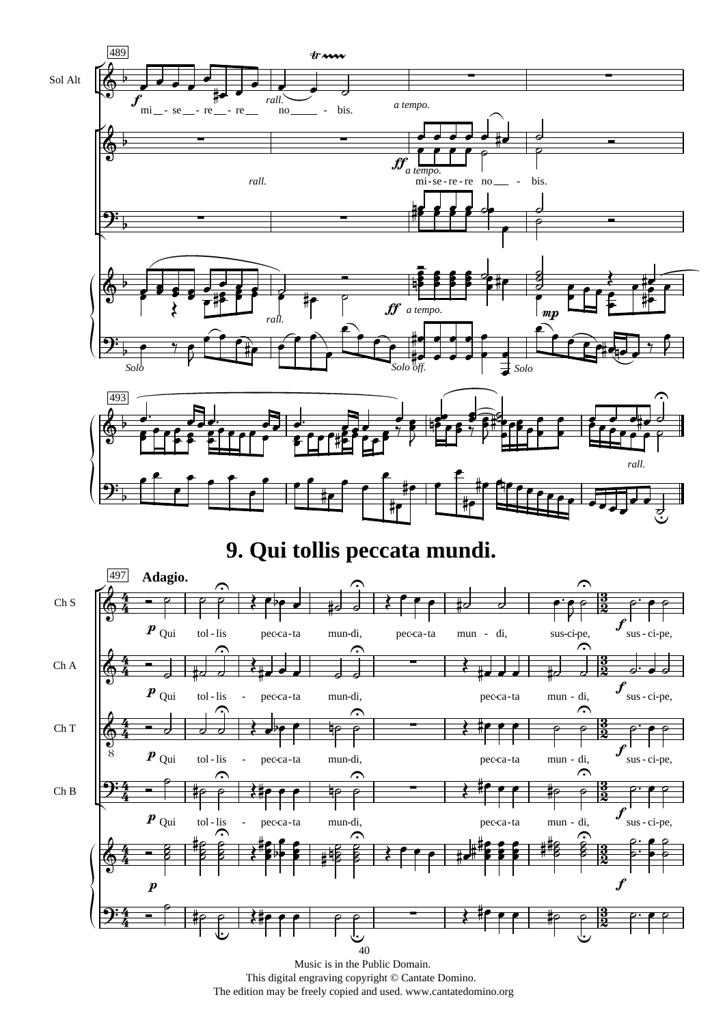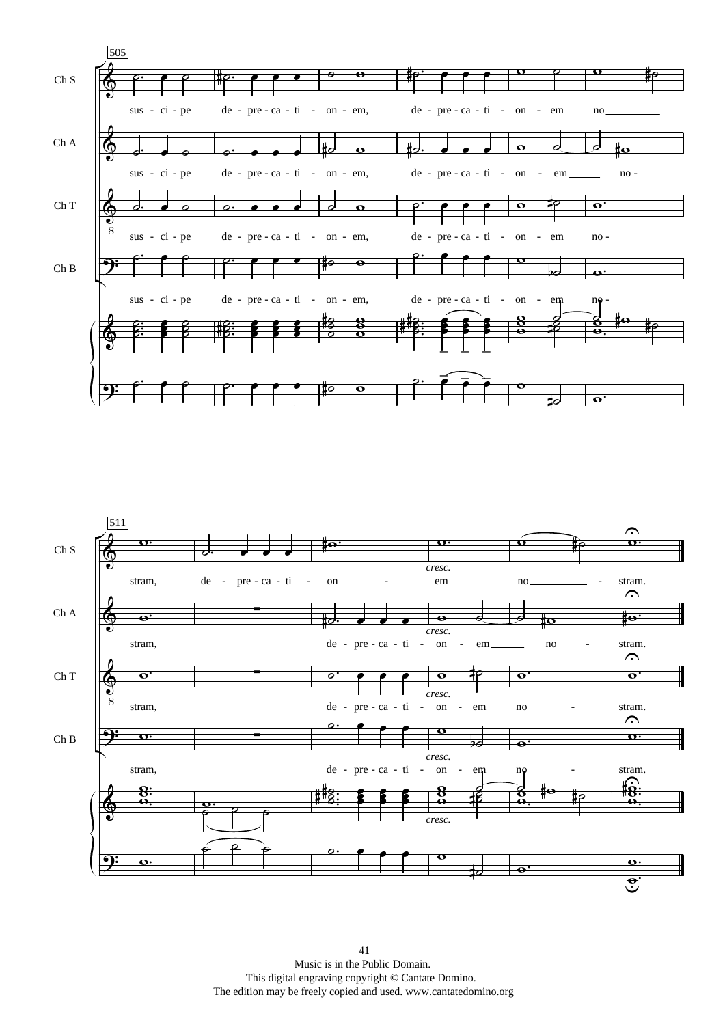

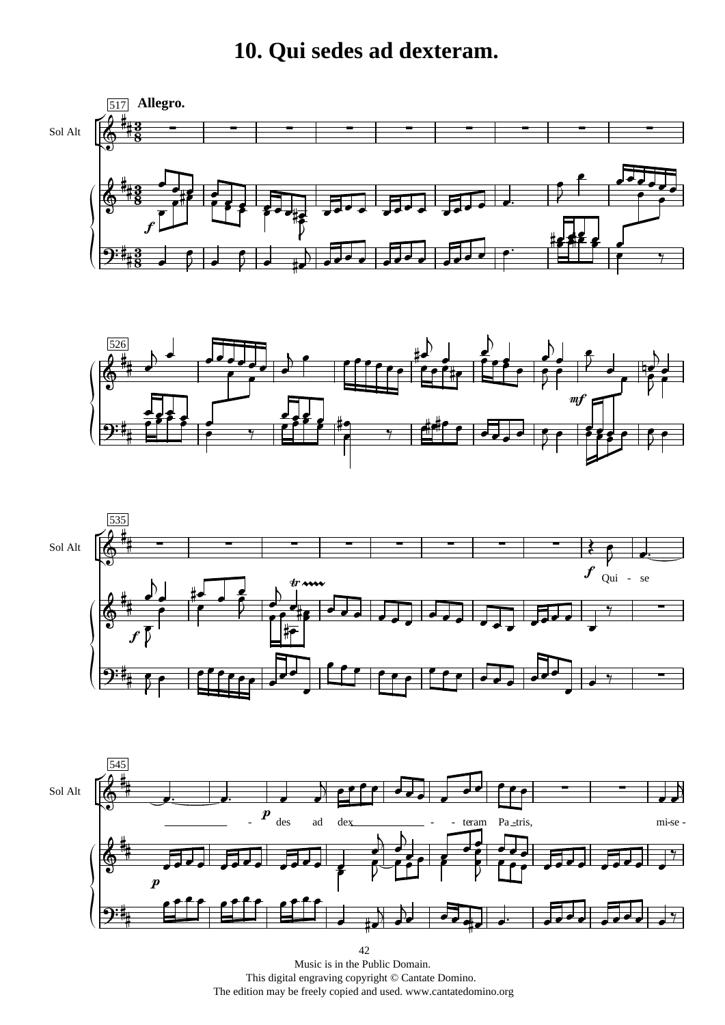## 10. Qui sedes ad dexteram.







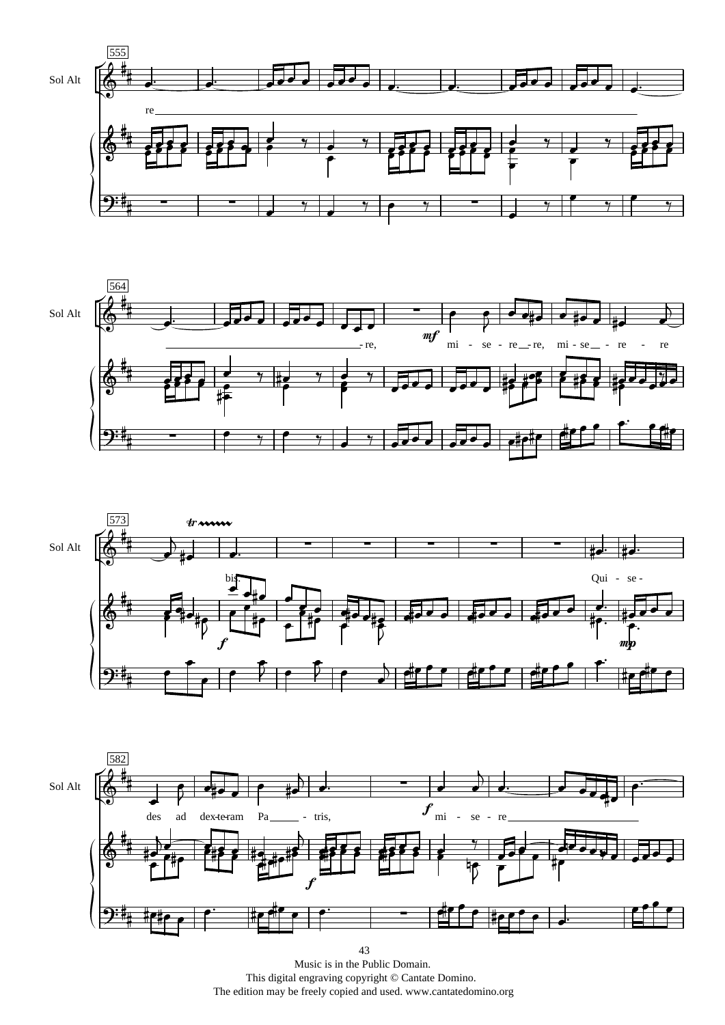





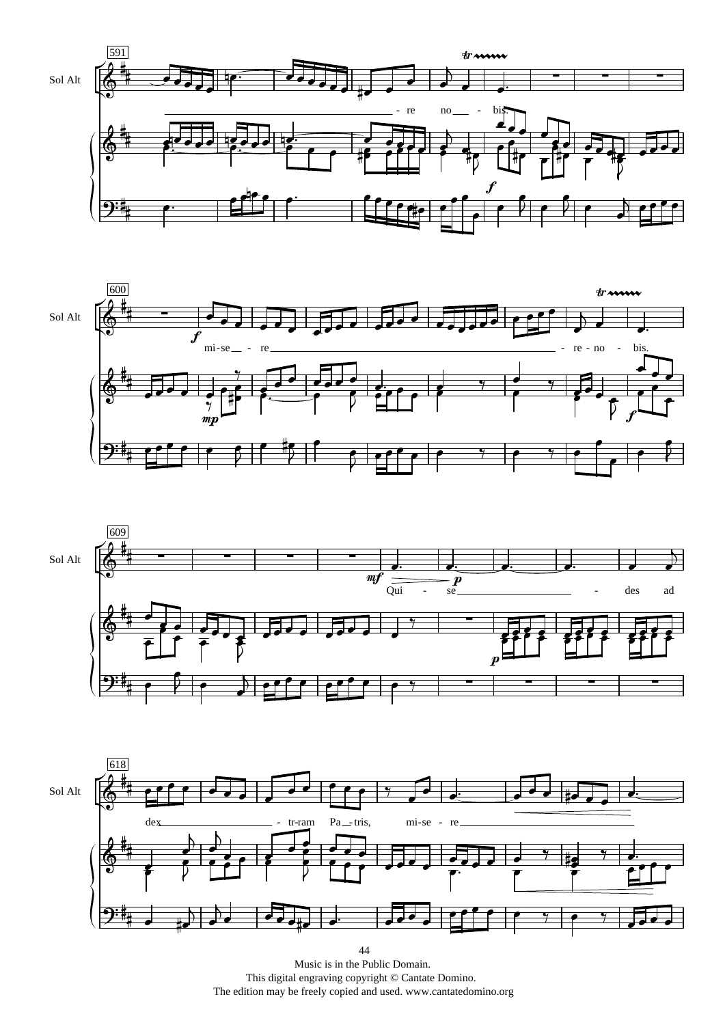







Music is in the Public Domain. This digital engraving copyright © Cantate Domino. The edition may be freely copied and used. www.cantatedomino.org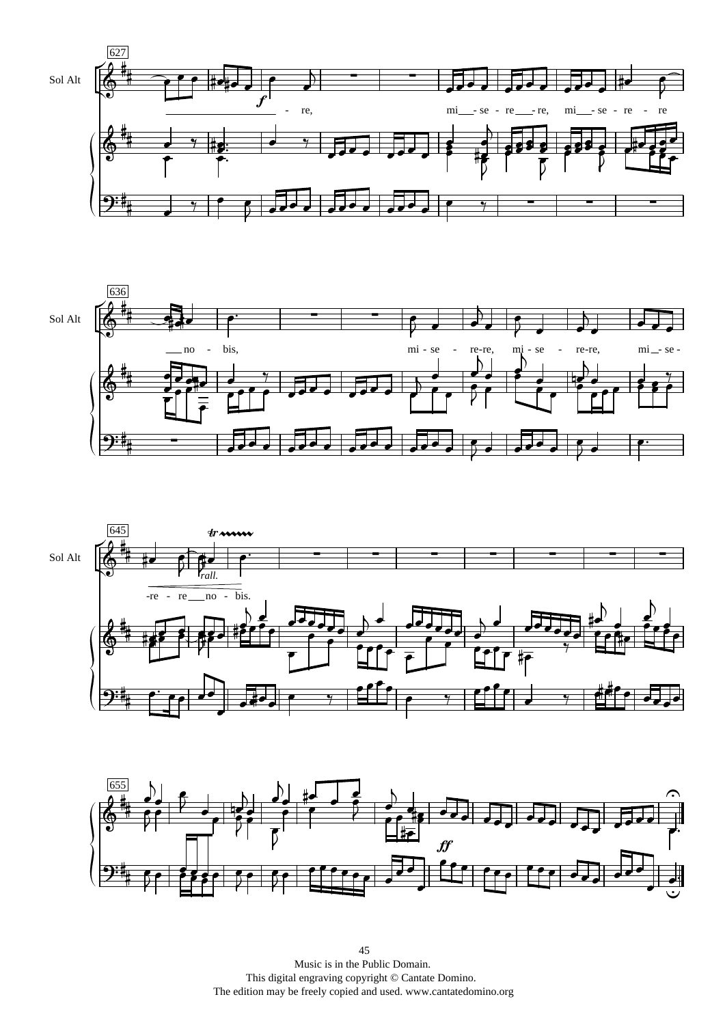





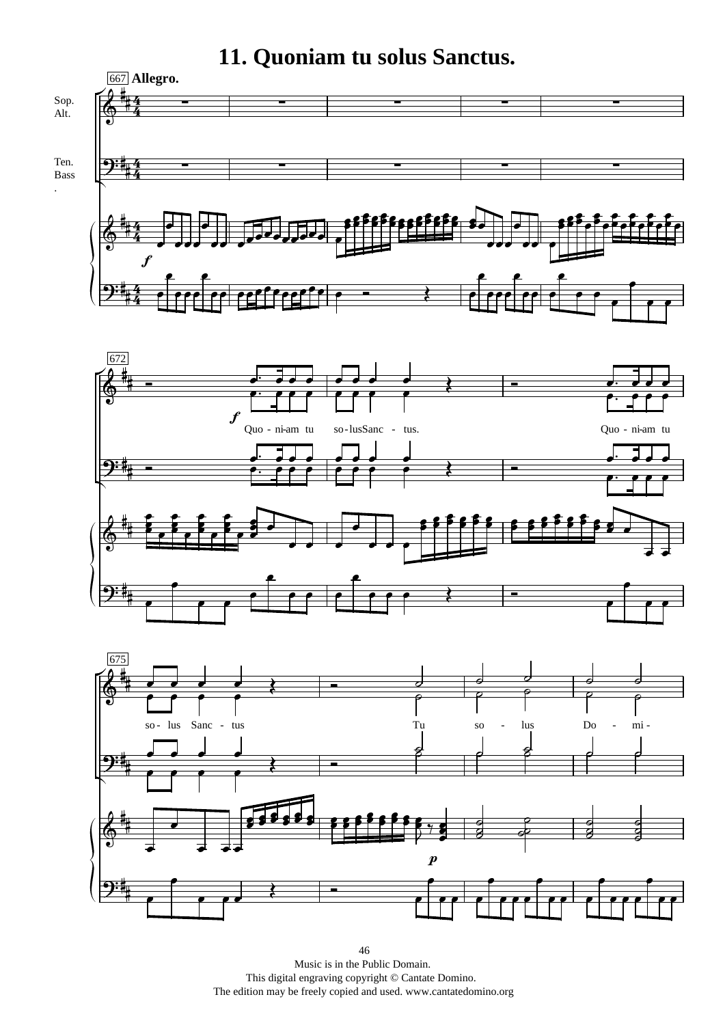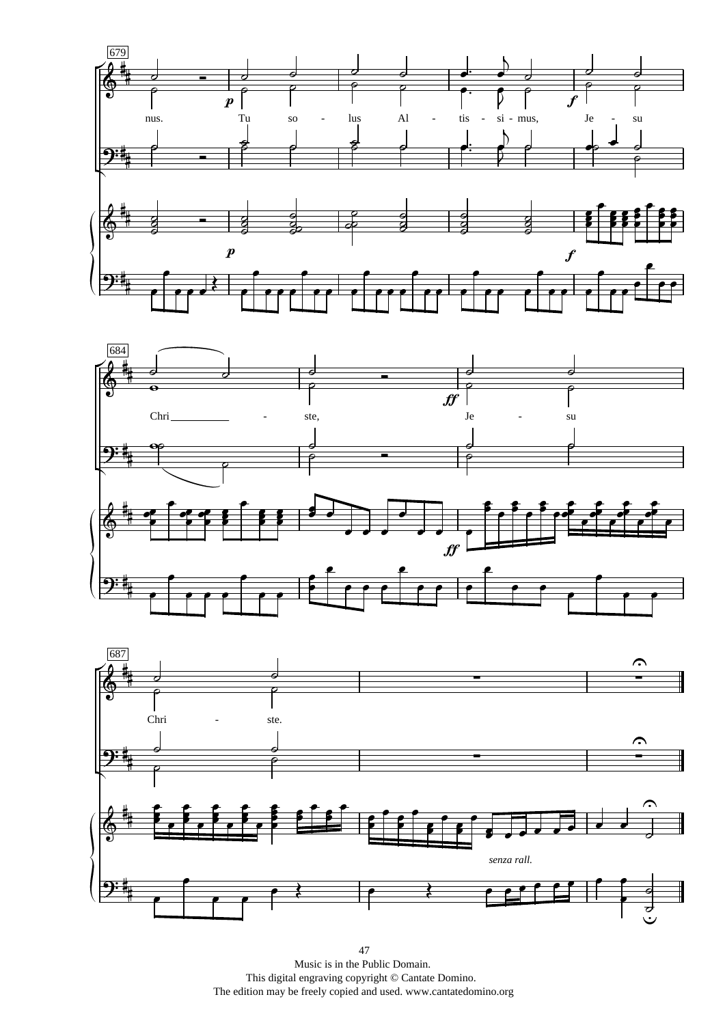





47 Music is in the Public Domain. This digital engraving copyright © Cantate Domino. The edition may be freely copied and used. www.cantatedomino.org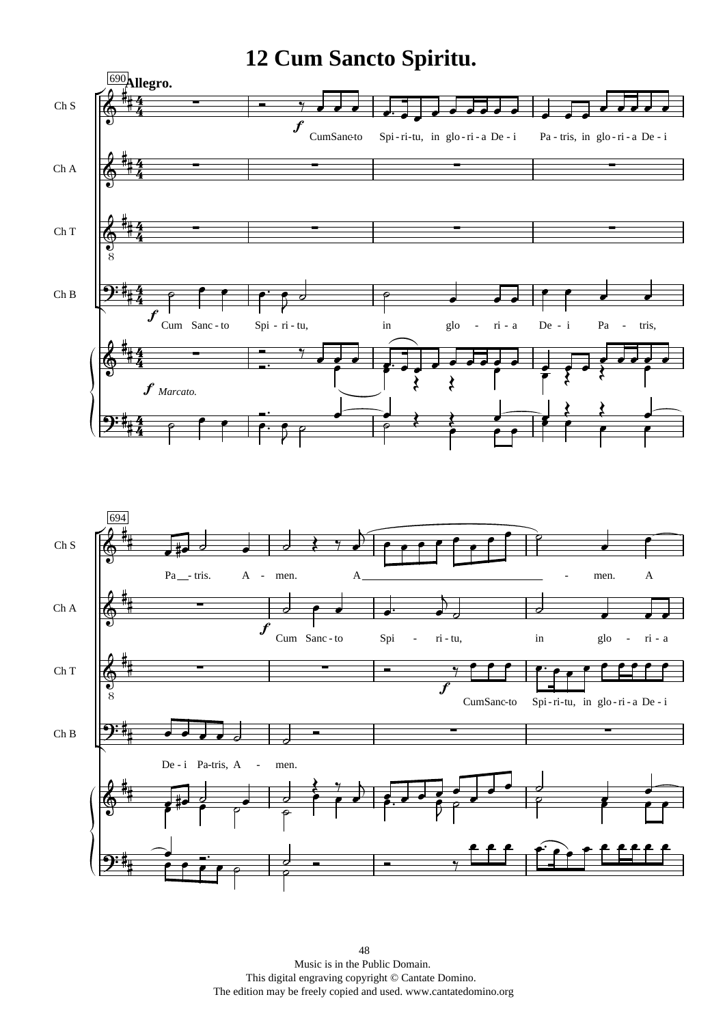## **12 Cum Sancto Spiritu.**



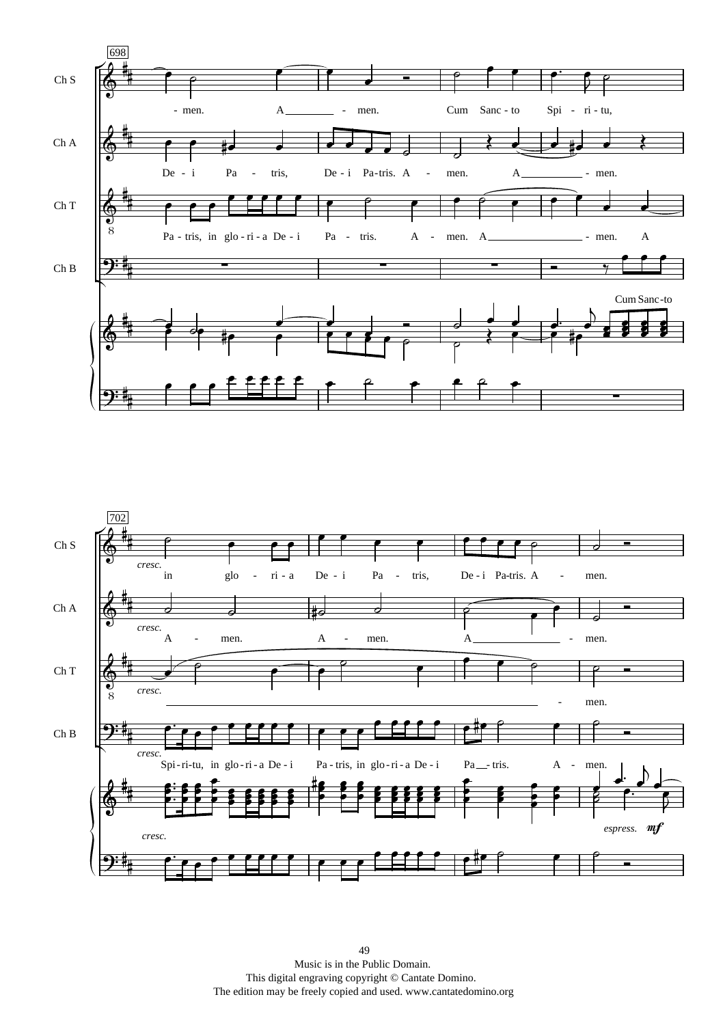

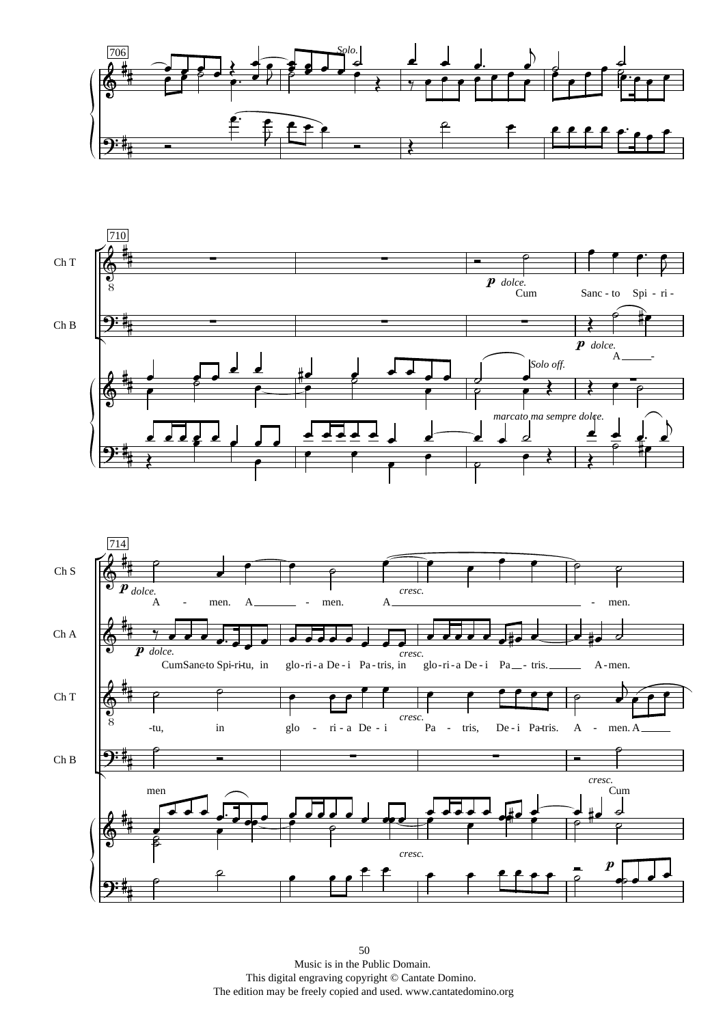



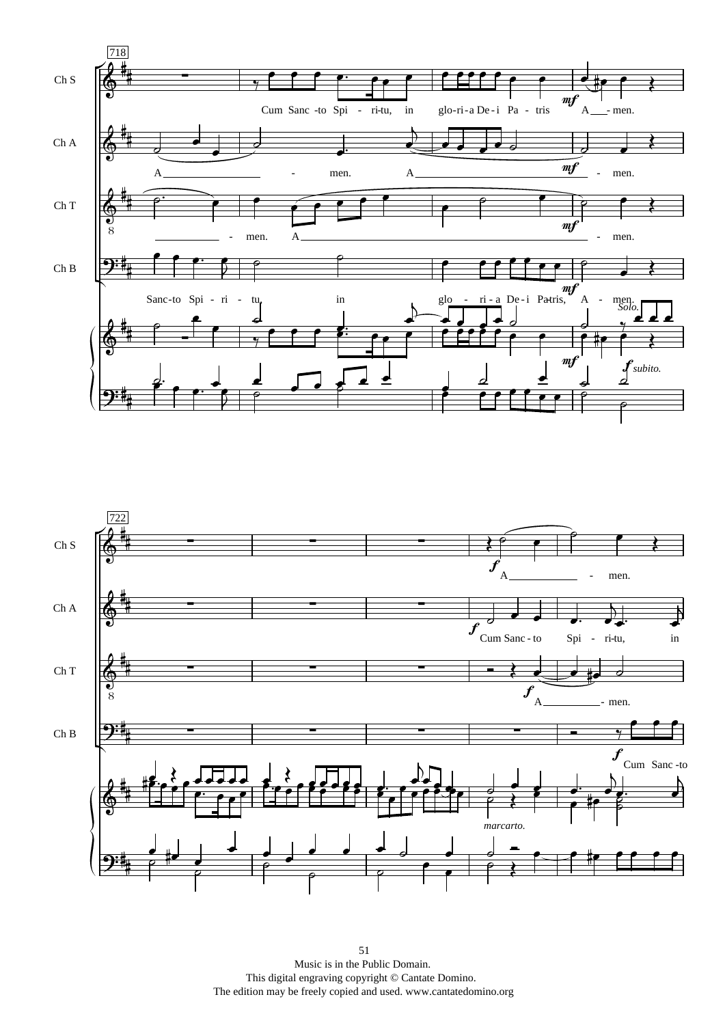

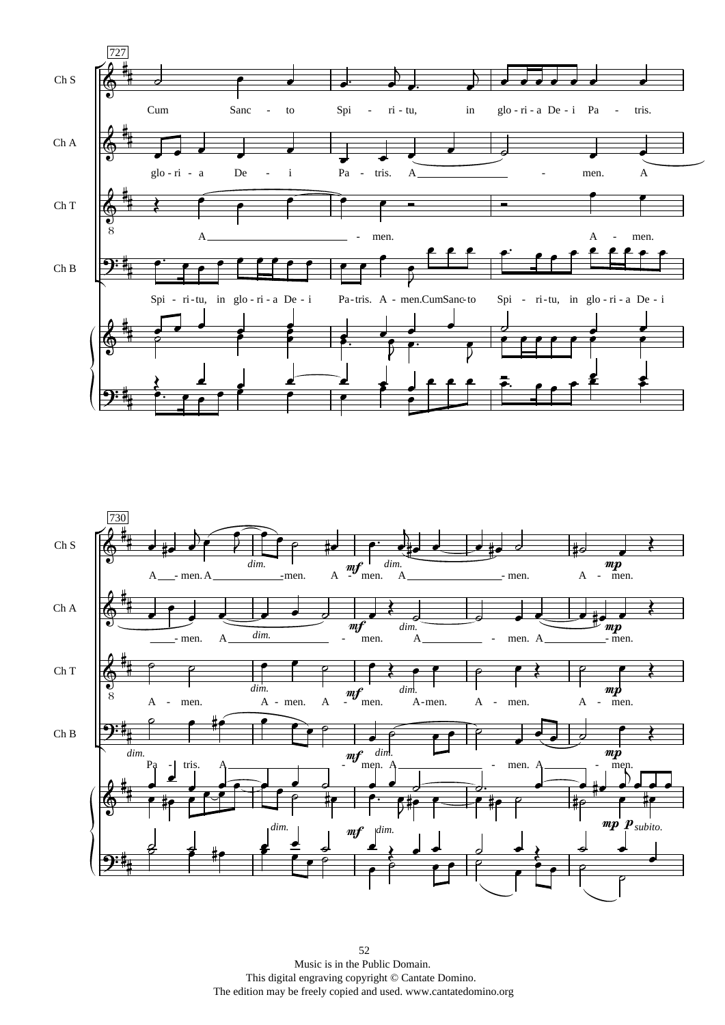

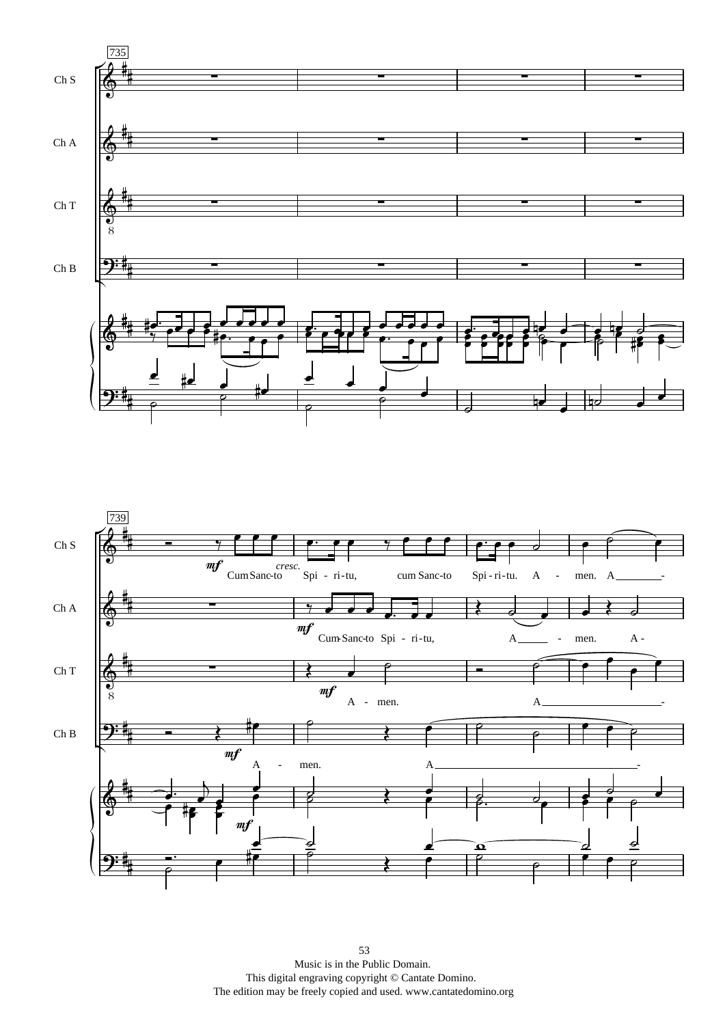

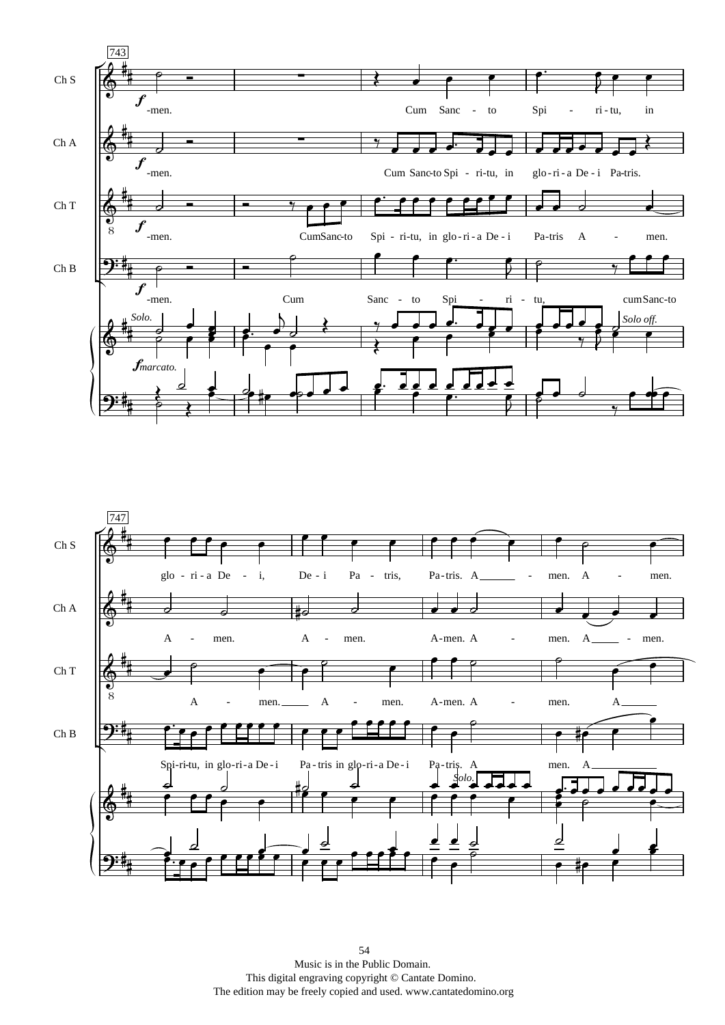

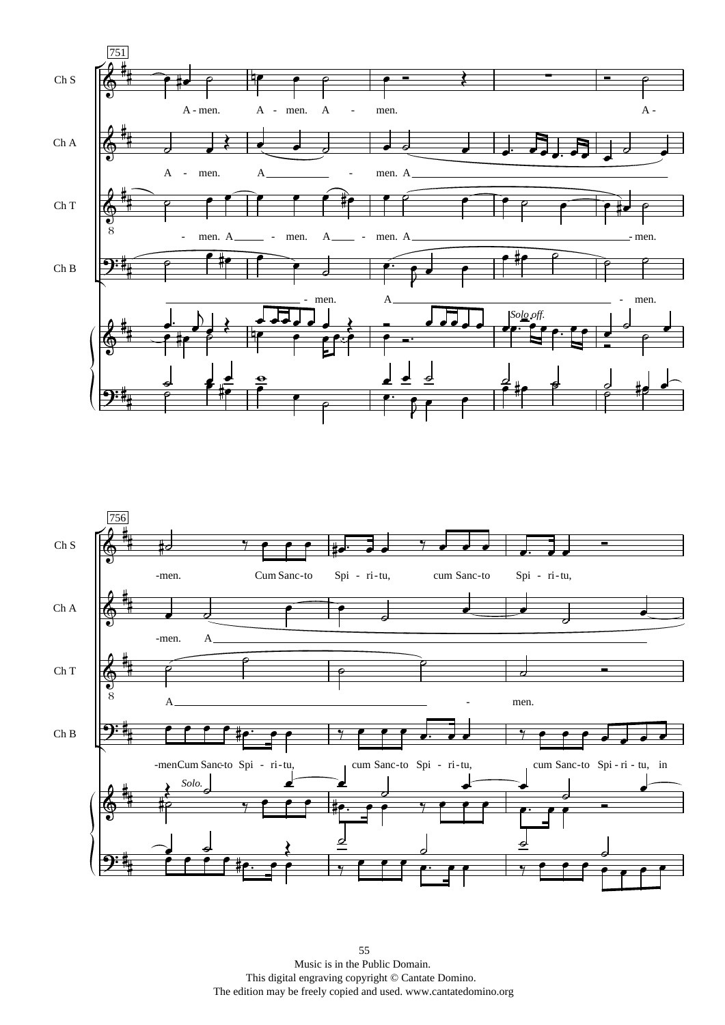